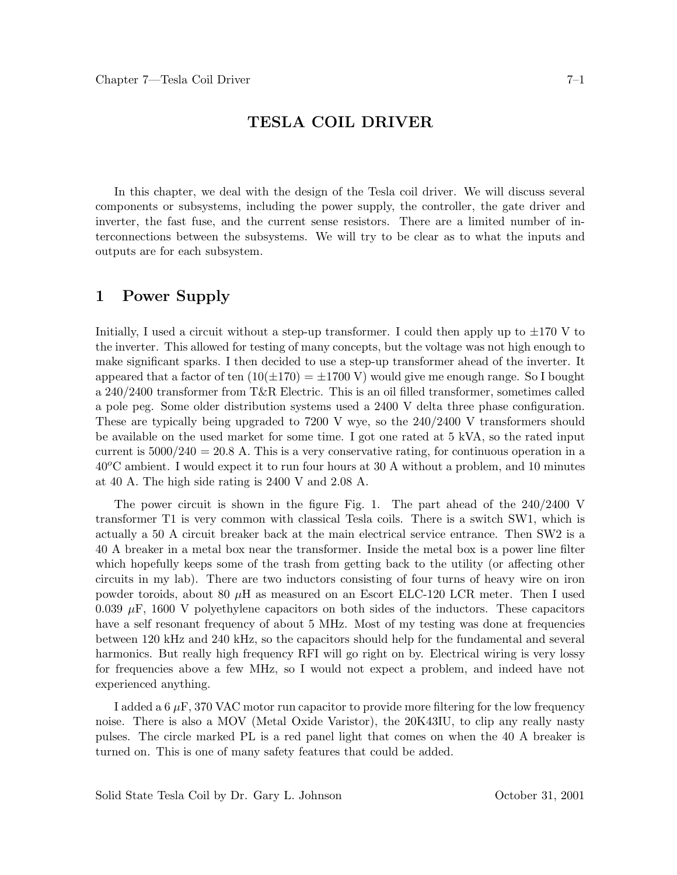#### **TESLA COIL DRIVER**

In this chapter, we deal with the design of the Tesla coil driver. We will discuss several components or subsystems, including the power supply, the controller, the gate driver and inverter, the fast fuse, and the current sense resistors. There are a limited number of interconnections between the subsystems. We will try to be clear as to what the inputs and outputs are for each subsystem.

# **1 Power Supply**

Initially, I used a circuit without a step-up transformer. I could then apply up to  $\pm 170$  V to the inverter. This allowed for testing of many concepts, but the voltage was not high enough to make significant sparks. I then decided to use a step-up transformer ahead of the inverter. It appeared that a factor of ten  $(10(\pm 170) = \pm 1700 \text{ V})$  would give me enough range. So I bought a 240/2400 transformer from T&R Electric. This is an oil filled transformer, sometimes called a pole peg. Some older distribution systems used a 2400 V delta three phase configuration. These are typically being upgraded to 7200 V wye, so the 240/2400 V transformers should be available on the used market for some time. I got one rated at 5 kVA, so the rated input current is  $5000/240 = 20.8$  A. This is a very conservative rating, for continuous operation in a 40*o*C ambient. I would expect it to run four hours at 30 A without a problem, and 10 minutes at 40 A. The high side rating is 2400 V and 2.08 A.

The power circuit is shown in the figure Fig. 1. The part ahead of the 240/2400 V transformer T1 is very common with classical Tesla coils. There is a switch SW1, which is actually a 50 A circuit breaker back at the main electrical service entrance. Then SW2 is a 40 A breaker in a metal box near the transformer. Inside the metal box is a power line filter which hopefully keeps some of the trash from getting back to the utility (or affecting other circuits in my lab). There are two inductors consisting of four turns of heavy wire on iron powder toroids, about 80 *µ*H as measured on an Escort ELC-120 LCR meter. Then I used 0.039  $\mu$ F, 1600 V polyethylene capacitors on both sides of the inductors. These capacitors have a self resonant frequency of about 5 MHz. Most of my testing was done at frequencies between 120 kHz and 240 kHz, so the capacitors should help for the fundamental and several harmonics. But really high frequency RFI will go right on by. Electrical wiring is very lossy for frequencies above a few MHz, so I would not expect a problem, and indeed have not experienced anything.

I added a  $6 \mu$ F, 370 VAC motor run capacitor to provide more filtering for the low frequency noise. There is also a MOV (Metal Oxide Varistor), the 20K43IU, to clip any really nasty pulses. The circle marked PL is a red panel light that comes on when the 40 A breaker is turned on. This is one of many safety features that could be added.

Solid State Tesla Coil by Dr. Gary L. Johnson October 31, 2001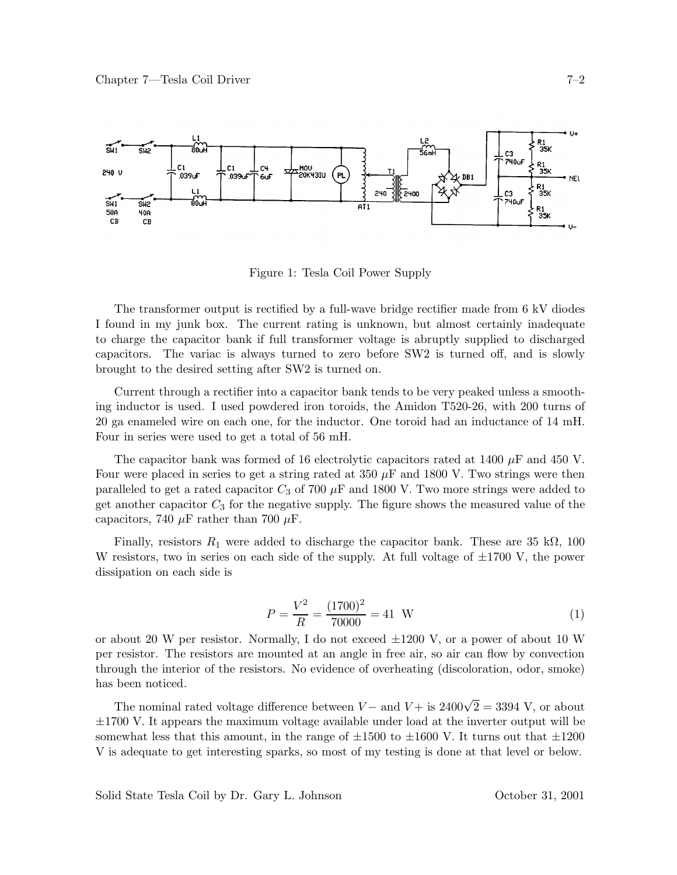

Figure 1: Tesla Coil Power Supply

The transformer output is rectified by a full-wave bridge rectifier made from 6 kV diodes I found in my junk box. The current rating is unknown, but almost certainly inadequate to charge the capacitor bank if full transformer voltage is abruptly supplied to discharged capacitors. The variac is always turned to zero before SW2 is turned off, and is slowly brought to the desired setting after SW2 is turned on.

Current through a rectifier into a capacitor bank tends to be very peaked unless a smoothing inductor is used. I used powdered iron toroids, the Amidon T520-26, with 200 turns of 20 ga enameled wire on each one, for the inductor. One toroid had an inductance of 14 mH. Four in series were used to get a total of 56 mH.

The capacitor bank was formed of 16 electrolytic capacitors rated at 1400 *µ*F and 450 V. Four were placed in series to get a string rated at  $350 \mu$ F and  $1800 \text{ V}$ . Two strings were then paralleled to get a rated capacitor  $C_3$  of 700  $\mu$ F and 1800 V. Two more strings were added to get another capacitor  $C_3$  for the negative supply. The figure shows the measured value of the capacitors, 740  $\mu$ F rather than 700  $\mu$ F.

Finally, resistors  $R_1$  were added to discharge the capacitor bank. These are 35 k $\Omega$ , 100 W resistors, two in series on each side of the supply. At full voltage of  $\pm 1700$  V, the power dissipation on each side is

$$
P = \frac{V^2}{R} = \frac{(1700)^2}{70000} = 41 \text{ W}
$$
 (1)

or about 20 W per resistor. Normally, I do not exceed  $\pm 1200$  V, or a power of about 10 W per resistor. The resistors are mounted at an angle in free air, so air can flow by convection through the interior of the resistors. No evidence of overheating (discoloration, odor, smoke) has been noticed.

The nominal rated voltage difference between *V* – and *V* + is  $2400\sqrt{2} = 3394$  V, or about ±1700 V. It appears the maximum voltage available under load at the inverter output will be somewhat less that this amount, in the range of  $\pm 1500$  to  $\pm 1600$  V. It turns out that  $\pm 1200$ V is adequate to get interesting sparks, so most of my testing is done at that level or below.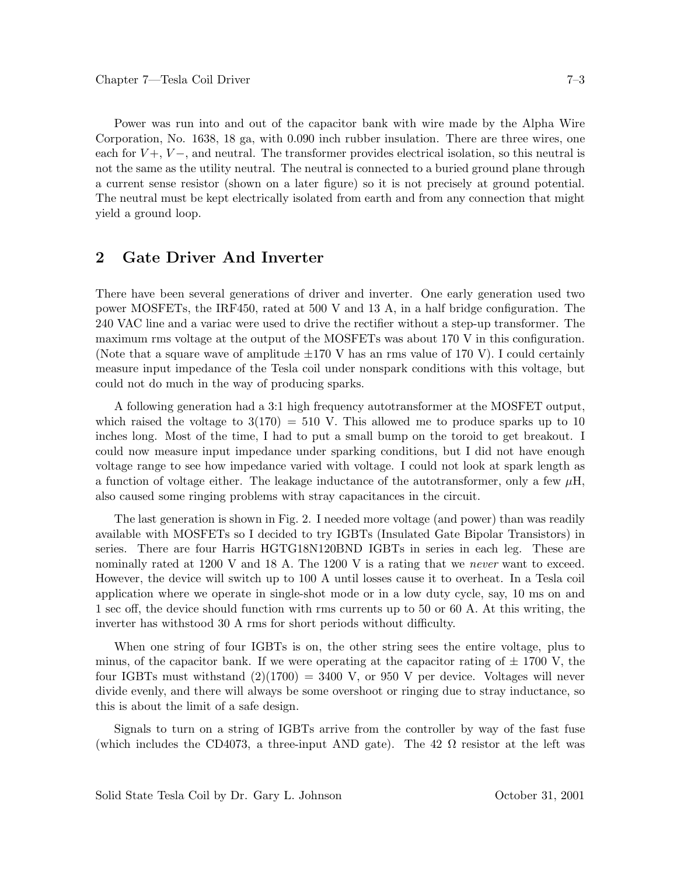Power was run into and out of the capacitor bank with wire made by the Alpha Wire Corporation, No. 1638, 18 ga, with 0.090 inch rubber insulation. There are three wires, one each for  $V +$ ,  $V -$ , and neutral. The transformer provides electrical isolation, so this neutral is not the same as the utility neutral. The neutral is connected to a buried ground plane through a current sense resistor (shown on a later figure) so it is not precisely at ground potential. The neutral must be kept electrically isolated from earth and from any connection that might yield a ground loop.

# **2 Gate Driver And Inverter**

There have been several generations of driver and inverter. One early generation used two power MOSFETs, the IRF450, rated at 500 V and 13 A, in a half bridge configuration. The 240 VAC line and a variac were used to drive the rectifier without a step-up transformer. The maximum rms voltage at the output of the MOSFETs was about 170 V in this configuration. (Note that a square wave of amplitude  $\pm 170$  V has an rms value of 170 V). I could certainly measure input impedance of the Tesla coil under nonspark conditions with this voltage, but could not do much in the way of producing sparks.

A following generation had a 3:1 high frequency autotransformer at the MOSFET output, which raised the voltage to  $3(170) = 510$  V. This allowed me to produce sparks up to 10 inches long. Most of the time, I had to put a small bump on the toroid to get breakout. I could now measure input impedance under sparking conditions, but I did not have enough voltage range to see how impedance varied with voltage. I could not look at spark length as a function of voltage either. The leakage inductance of the autotransformer, only a few  $\mu$ H, also caused some ringing problems with stray capacitances in the circuit.

The last generation is shown in Fig. 2. I needed more voltage (and power) than was readily available with MOSFETs so I decided to try IGBTs (Insulated Gate Bipolar Transistors) in series. There are four Harris HGTG18N120BND IGBTs in series in each leg. These are nominally rated at 1200 V and 18 A. The 1200 V is a rating that we *never* want to exceed. However, the device will switch up to 100 A until losses cause it to overheat. In a Tesla coil application where we operate in single-shot mode or in a low duty cycle, say, 10 ms on and 1 sec off, the device should function with rms currents up to 50 or 60 A. At this writing, the inverter has withstood 30 A rms for short periods without difficulty.

When one string of four IGBTs is on, the other string sees the entire voltage, plus to minus, of the capacitor bank. If we were operating at the capacitor rating of  $\pm$  1700 V, the four IGBTs must withstand  $(2)(1700) = 3400$  V, or 950 V per device. Voltages will never divide evenly, and there will always be some overshoot or ringing due to stray inductance, so this is about the limit of a safe design.

Signals to turn on a string of IGBTs arrive from the controller by way of the fast fuse (which includes the CD4073, a three-input AND gate). The 42  $\Omega$  resistor at the left was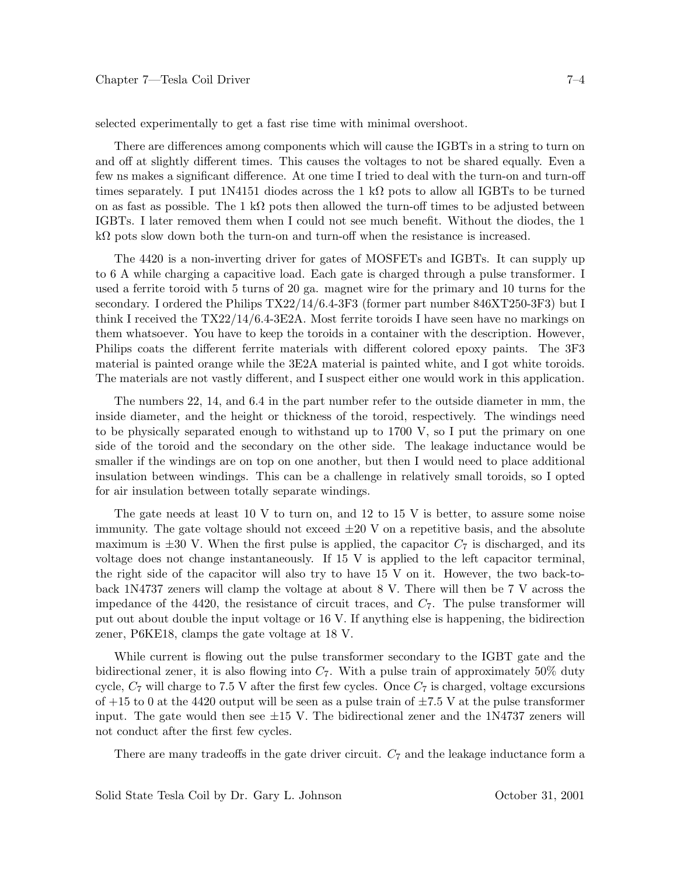selected experimentally to get a fast rise time with minimal overshoot.

There are differences among components which will cause the IGBTs in a string to turn on and off at slightly different times. This causes the voltages to not be shared equally. Even a few ns makes a significant difference. At one time I tried to deal with the turn-on and turn-off times separately. I put 1N4151 diodes across the 1 k $\Omega$  pots to allow all IGBTs to be turned on as fast as possible. The 1 kΩ pots then allowed the turn-off times to be adjusted between IGBTs. I later removed them when I could not see much benefit. Without the diodes, the 1 kΩ pots slow down both the turn-on and turn-off when the resistance is increased.

The 4420 is a non-inverting driver for gates of MOSFETs and IGBTs. It can supply up to 6 A while charging a capacitive load. Each gate is charged through a pulse transformer. I used a ferrite toroid with 5 turns of 20 ga. magnet wire for the primary and 10 turns for the secondary. I ordered the Philips TX22/14/6.4-3F3 (former part number 846XT250-3F3) but I think I received the TX22/14/6.4-3E2A. Most ferrite toroids I have seen have no markings on them whatsoever. You have to keep the toroids in a container with the description. However, Philips coats the different ferrite materials with different colored epoxy paints. The 3F3 material is painted orange while the 3E2A material is painted white, and I got white toroids. The materials are not vastly different, and I suspect either one would work in this application.

The numbers 22, 14, and 6.4 in the part number refer to the outside diameter in mm, the inside diameter, and the height or thickness of the toroid, respectively. The windings need to be physically separated enough to withstand up to 1700 V, so I put the primary on one side of the toroid and the secondary on the other side. The leakage inductance would be smaller if the windings are on top on one another, but then I would need to place additional insulation between windings. This can be a challenge in relatively small toroids, so I opted for air insulation between totally separate windings.

The gate needs at least 10 V to turn on, and 12 to 15 V is better, to assure some noise immunity. The gate voltage should not exceed  $\pm 20$  V on a repetitive basis, and the absolute maximum is  $\pm 30$  V. When the first pulse is applied, the capacitor  $C_7$  is discharged, and its voltage does not change instantaneously. If 15 V is applied to the left capacitor terminal, the right side of the capacitor will also try to have 15 V on it. However, the two back-toback 1N4737 zeners will clamp the voltage at about 8 V. There will then be 7 V across the impedance of the 4420, the resistance of circuit traces, and *C*7. The pulse transformer will put out about double the input voltage or 16 V. If anything else is happening, the bidirection zener, P6KE18, clamps the gate voltage at 18 V.

While current is flowing out the pulse transformer secondary to the IGBT gate and the bidirectional zener, it is also flowing into *C*7. With a pulse train of approximately 50% duty cycle, *C*<sup>7</sup> will charge to 7.5 V after the first few cycles. Once *C*<sup>7</sup> is charged, voltage excursions of  $+15$  to 0 at the 4420 output will be seen as a pulse train of  $\pm 7.5$  V at the pulse transformer input. The gate would then see  $\pm 15$  V. The bidirectional zener and the 1N4737 zeners will not conduct after the first few cycles.

There are many tradeoffs in the gate driver circuit.  $C_7$  and the leakage inductance form a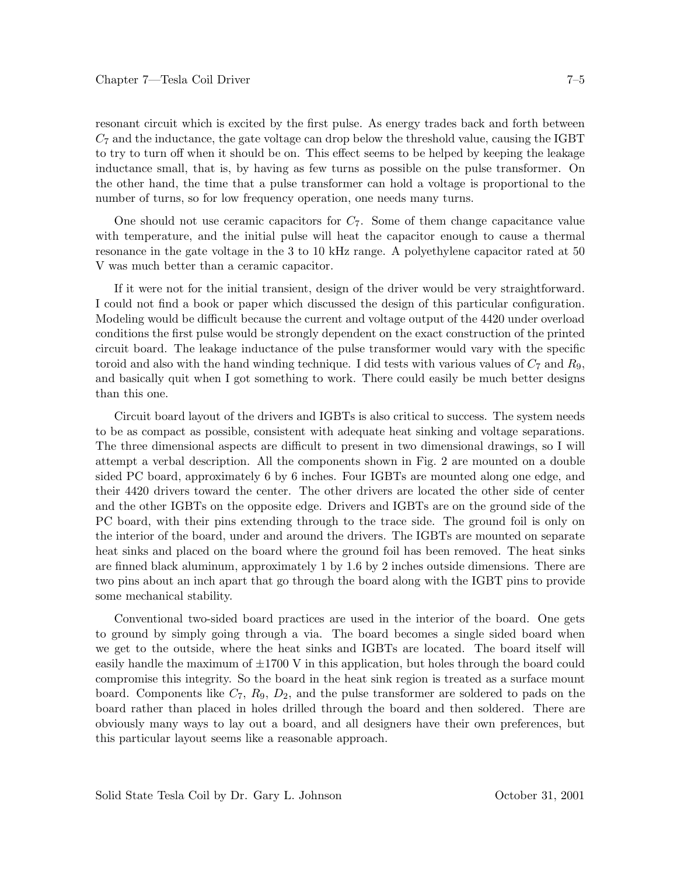resonant circuit which is excited by the first pulse. As energy trades back and forth between *C*<sup>7</sup> and the inductance, the gate voltage can drop below the threshold value, causing the IGBT to try to turn off when it should be on. This effect seems to be helped by keeping the leakage inductance small, that is, by having as few turns as possible on the pulse transformer. On the other hand, the time that a pulse transformer can hold a voltage is proportional to the number of turns, so for low frequency operation, one needs many turns.

One should not use ceramic capacitors for *C*7. Some of them change capacitance value with temperature, and the initial pulse will heat the capacitor enough to cause a thermal resonance in the gate voltage in the 3 to 10 kHz range. A polyethylene capacitor rated at 50 V was much better than a ceramic capacitor.

If it were not for the initial transient, design of the driver would be very straightforward. I could not find a book or paper which discussed the design of this particular configuration. Modeling would be difficult because the current and voltage output of the 4420 under overload conditions the first pulse would be strongly dependent on the exact construction of the printed circuit board. The leakage inductance of the pulse transformer would vary with the specific toroid and also with the hand winding technique. I did tests with various values of  $C_7$  and  $R_9$ , and basically quit when I got something to work. There could easily be much better designs than this one.

Circuit board layout of the drivers and IGBTs is also critical to success. The system needs to be as compact as possible, consistent with adequate heat sinking and voltage separations. The three dimensional aspects are difficult to present in two dimensional drawings, so I will attempt a verbal description. All the components shown in Fig. 2 are mounted on a double sided PC board, approximately 6 by 6 inches. Four IGBTs are mounted along one edge, and their 4420 drivers toward the center. The other drivers are located the other side of center and the other IGBTs on the opposite edge. Drivers and IGBTs are on the ground side of the PC board, with their pins extending through to the trace side. The ground foil is only on the interior of the board, under and around the drivers. The IGBTs are mounted on separate heat sinks and placed on the board where the ground foil has been removed. The heat sinks are finned black aluminum, approximately 1 by 1.6 by 2 inches outside dimensions. There are two pins about an inch apart that go through the board along with the IGBT pins to provide some mechanical stability.

Conventional two-sided board practices are used in the interior of the board. One gets to ground by simply going through a via. The board becomes a single sided board when we get to the outside, where the heat sinks and IGBTs are located. The board itself will easily handle the maximum of  $\pm 1700$  V in this application, but holes through the board could compromise this integrity. So the board in the heat sink region is treated as a surface mount board. Components like *C*7, *R*9, *D*2, and the pulse transformer are soldered to pads on the board rather than placed in holes drilled through the board and then soldered. There are obviously many ways to lay out a board, and all designers have their own preferences, but this particular layout seems like a reasonable approach.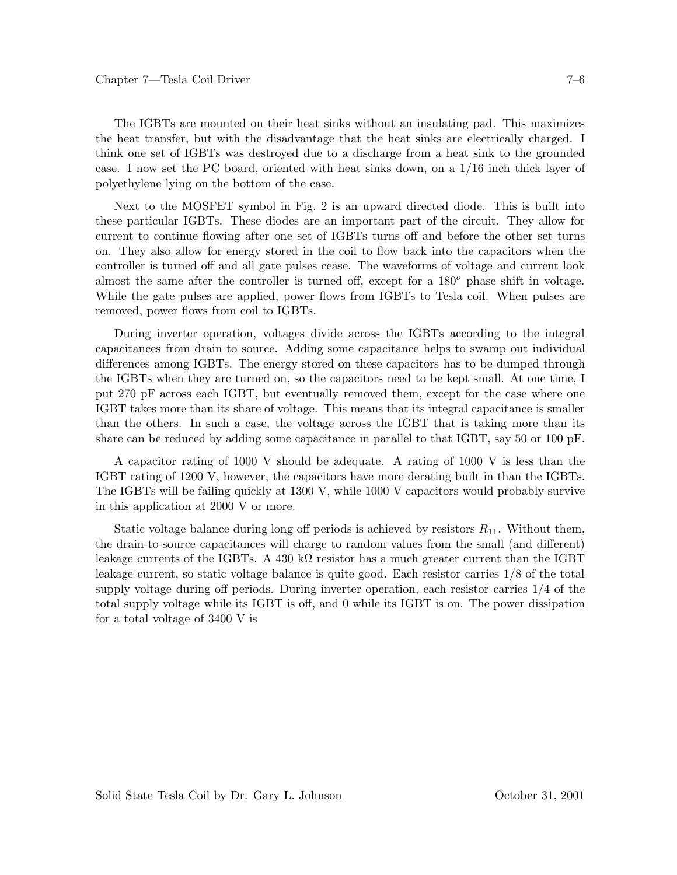The IGBTs are mounted on their heat sinks without an insulating pad. This maximizes the heat transfer, but with the disadvantage that the heat sinks are electrically charged. I think one set of IGBTs was destroyed due to a discharge from a heat sink to the grounded case. I now set the PC board, oriented with heat sinks down, on a 1/16 inch thick layer of polyethylene lying on the bottom of the case.

Next to the MOSFET symbol in Fig. 2 is an upward directed diode. This is built into these particular IGBTs. These diodes are an important part of the circuit. They allow for current to continue flowing after one set of IGBTs turns off and before the other set turns on. They also allow for energy stored in the coil to flow back into the capacitors when the controller is turned off and all gate pulses cease. The waveforms of voltage and current look almost the same after the controller is turned off, except for a 180*<sup>o</sup>* phase shift in voltage. While the gate pulses are applied, power flows from IGBTs to Tesla coil. When pulses are removed, power flows from coil to IGBTs.

During inverter operation, voltages divide across the IGBTs according to the integral capacitances from drain to source. Adding some capacitance helps to swamp out individual differences among IGBTs. The energy stored on these capacitors has to be dumped through the IGBTs when they are turned on, so the capacitors need to be kept small. At one time, I put 270 pF across each IGBT, but eventually removed them, except for the case where one IGBT takes more than its share of voltage. This means that its integral capacitance is smaller than the others. In such a case, the voltage across the IGBT that is taking more than its share can be reduced by adding some capacitance in parallel to that IGBT, say 50 or 100 pF.

A capacitor rating of 1000 V should be adequate. A rating of 1000 V is less than the IGBT rating of 1200 V, however, the capacitors have more derating built in than the IGBTs. The IGBTs will be failing quickly at 1300 V, while 1000 V capacitors would probably survive in this application at 2000 V or more.

Static voltage balance during long off periods is achieved by resistors  $R_{11}$ . Without them, the drain-to-source capacitances will charge to random values from the small (and different) leakage currents of the IGBTs. A 430 k $\Omega$  resistor has a much greater current than the IGBT leakage current, so static voltage balance is quite good. Each resistor carries 1/8 of the total supply voltage during off periods. During inverter operation, each resistor carries 1/4 of the total supply voltage while its IGBT is off, and 0 while its IGBT is on. The power dissipation for a total voltage of 3400 V is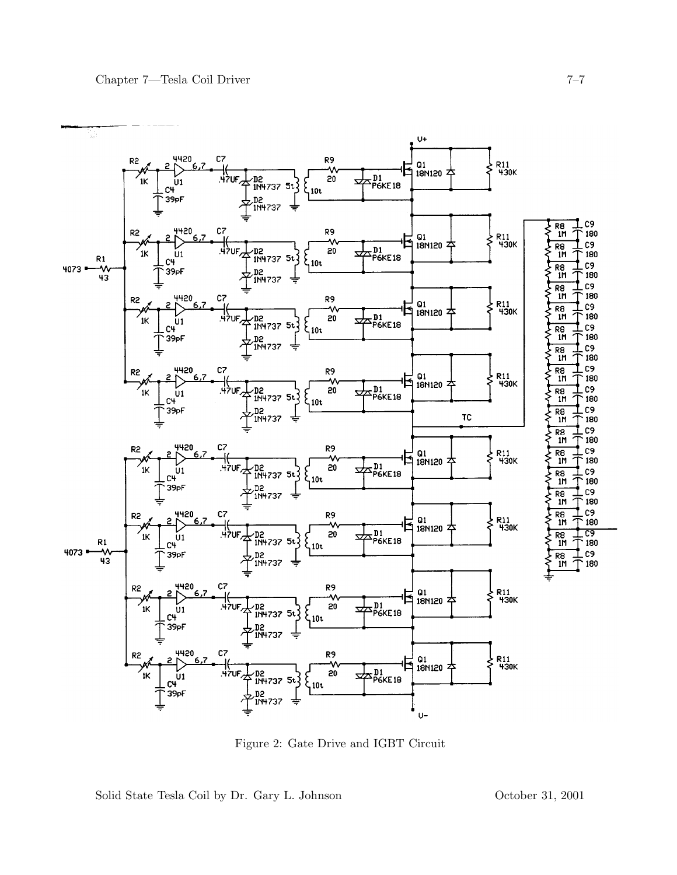

Figure 2: Gate Drive and IGBT Circuit

Solid State Tesla Coil by Dr. Gary L. Johnson October 31, 2001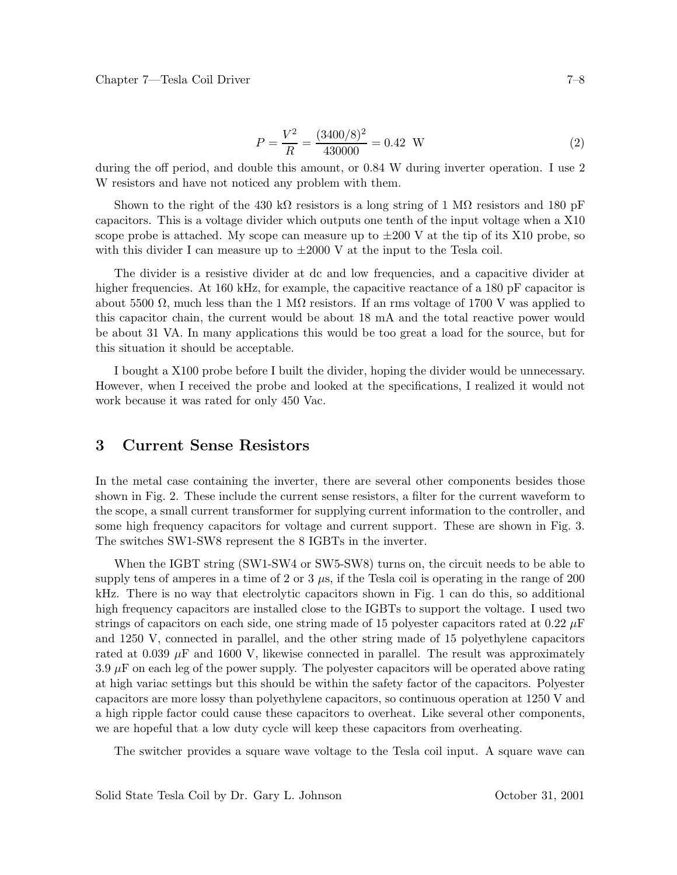$$
P = \frac{V^2}{R} = \frac{(3400/8)^2}{430000} = 0.42 \text{ W}
$$
 (2)

during the off period, and double this amount, or 0.84 W during inverter operation. I use 2 W resistors and have not noticed any problem with them.

Shown to the right of the 430 kΩ resistors is a long string of 1 MΩ resistors and 180 pF capacitors. This is a voltage divider which outputs one tenth of the input voltage when a X10 scope probe is attached. My scope can measure up to  $\pm 200$  V at the tip of its X10 probe, so with this divider I can measure up to  $\pm 2000$  V at the input to the Tesla coil.

The divider is a resistive divider at dc and low frequencies, and a capacitive divider at higher frequencies. At 160 kHz, for example, the capacitive reactance of a 180 pF capacitor is about 5500  $\Omega$ , much less than the 1 M $\Omega$  resistors. If an rms voltage of 1700 V was applied to this capacitor chain, the current would be about 18 mA and the total reactive power would be about 31 VA. In many applications this would be too great a load for the source, but for this situation it should be acceptable.

I bought a X100 probe before I built the divider, hoping the divider would be unnecessary. However, when I received the probe and looked at the specifications, I realized it would not work because it was rated for only 450 Vac.

#### **3 Current Sense Resistors**

In the metal case containing the inverter, there are several other components besides those shown in Fig. 2. These include the current sense resistors, a filter for the current waveform to the scope, a small current transformer for supplying current information to the controller, and some high frequency capacitors for voltage and current support. These are shown in Fig. 3. The switches SW1-SW8 represent the 8 IGBTs in the inverter.

When the IGBT string (SW1-SW4 or SW5-SW8) turns on, the circuit needs to be able to supply tens of amperes in a time of 2 or 3 *µ*s, if the Tesla coil is operating in the range of 200 kHz. There is no way that electrolytic capacitors shown in Fig. 1 can do this, so additional high frequency capacitors are installed close to the IGBTs to support the voltage. I used two strings of capacitors on each side, one string made of 15 polyester capacitors rated at 0.22 *µ*F and 1250 V, connected in parallel, and the other string made of 15 polyethylene capacitors rated at 0.039  $\mu$ F and 1600 V, likewise connected in parallel. The result was approximately  $3.9 \mu$ F on each leg of the power supply. The polyester capacitors will be operated above rating at high variac settings but this should be within the safety factor of the capacitors. Polyester capacitors are more lossy than polyethylene capacitors, so continuous operation at 1250 V and a high ripple factor could cause these capacitors to overheat. Like several other components, we are hopeful that a low duty cycle will keep these capacitors from overheating.

The switcher provides a square wave voltage to the Tesla coil input. A square wave can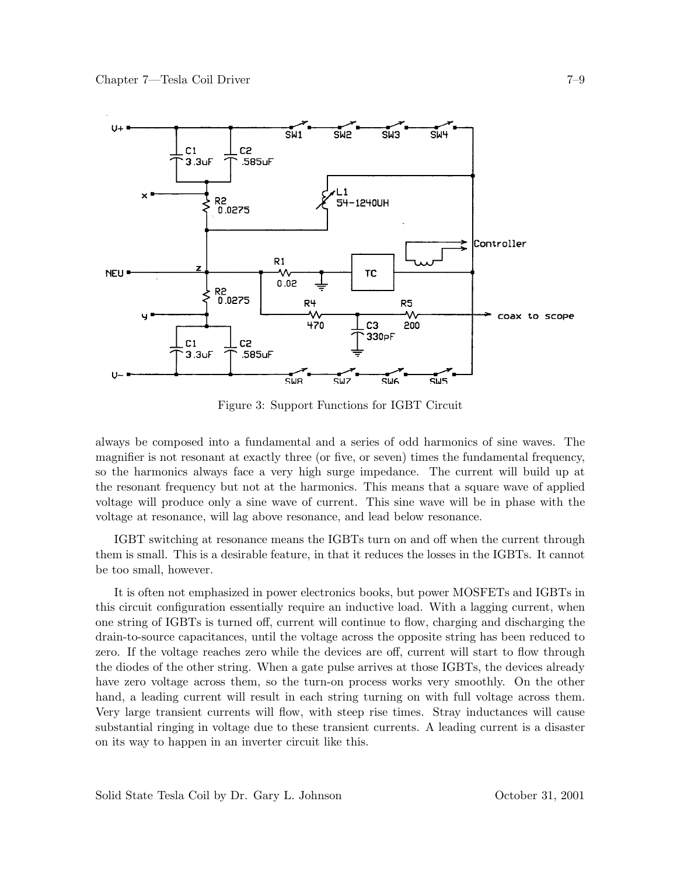

Figure 3: Support Functions for IGBT Circuit

always be composed into a fundamental and a series of odd harmonics of sine waves. The magnifier is not resonant at exactly three (or five, or seven) times the fundamental frequency, so the harmonics always face a very high surge impedance. The current will build up at the resonant frequency but not at the harmonics. This means that a square wave of applied voltage will produce only a sine wave of current. This sine wave will be in phase with the voltage at resonance, will lag above resonance, and lead below resonance.

IGBT switching at resonance means the IGBTs turn on and off when the current through them is small. This is a desirable feature, in that it reduces the losses in the IGBTs. It cannot be too small, however.

It is often not emphasized in power electronics books, but power MOSFETs and IGBTs in this circuit configuration essentially require an inductive load. With a lagging current, when one string of IGBTs is turned off, current will continue to flow, charging and discharging the drain-to-source capacitances, until the voltage across the opposite string has been reduced to zero. If the voltage reaches zero while the devices are off, current will start to flow through the diodes of the other string. When a gate pulse arrives at those IGBTs, the devices already have zero voltage across them, so the turn-on process works very smoothly. On the other hand, a leading current will result in each string turning on with full voltage across them. Very large transient currents will flow, with steep rise times. Stray inductances will cause substantial ringing in voltage due to these transient currents. A leading current is a disaster on its way to happen in an inverter circuit like this.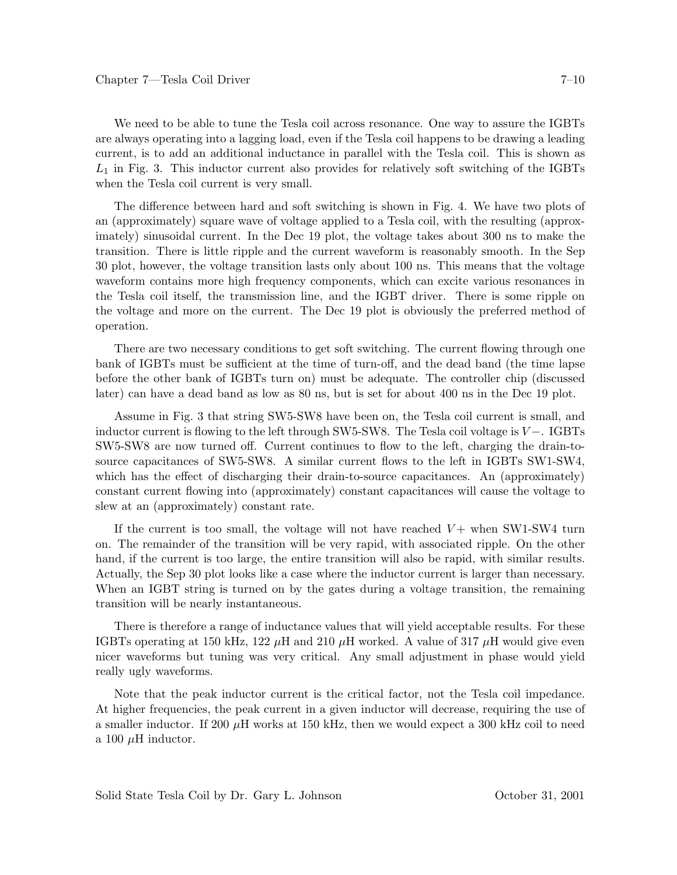We need to be able to tune the Tesla coil across resonance. One way to assure the IGBTs are always operating into a lagging load, even if the Tesla coil happens to be drawing a leading current, is to add an additional inductance in parallel with the Tesla coil. This is shown as *L*<sup>1</sup> in Fig. 3. This inductor current also provides for relatively soft switching of the IGBTs when the Tesla coil current is very small.

The difference between hard and soft switching is shown in Fig. 4. We have two plots of an (approximately) square wave of voltage applied to a Tesla coil, with the resulting (approximately) sinusoidal current. In the Dec 19 plot, the voltage takes about 300 ns to make the transition. There is little ripple and the current waveform is reasonably smooth. In the Sep 30 plot, however, the voltage transition lasts only about 100 ns. This means that the voltage waveform contains more high frequency components, which can excite various resonances in the Tesla coil itself, the transmission line, and the IGBT driver. There is some ripple on the voltage and more on the current. The Dec 19 plot is obviously the preferred method of operation.

There are two necessary conditions to get soft switching. The current flowing through one bank of IGBTs must be sufficient at the time of turn-off, and the dead band (the time lapse before the other bank of IGBTs turn on) must be adequate. The controller chip (discussed later) can have a dead band as low as 80 ns, but is set for about 400 ns in the Dec 19 plot.

Assume in Fig. 3 that string SW5-SW8 have been on, the Tesla coil current is small, and inductor current is flowing to the left through SW5-SW8. The Tesla coil voltage is *V* −. IGBTs SW5-SW8 are now turned off. Current continues to flow to the left, charging the drain-tosource capacitances of SW5-SW8. A similar current flows to the left in IGBTs SW1-SW4, which has the effect of discharging their drain-to-source capacitances. An (approximately) constant current flowing into (approximately) constant capacitances will cause the voltage to slew at an (approximately) constant rate.

If the current is too small, the voltage will not have reached  $V$  + when SW1-SW4 turn on. The remainder of the transition will be very rapid, with associated ripple. On the other hand, if the current is too large, the entire transition will also be rapid, with similar results. Actually, the Sep 30 plot looks like a case where the inductor current is larger than necessary. When an IGBT string is turned on by the gates during a voltage transition, the remaining transition will be nearly instantaneous.

There is therefore a range of inductance values that will yield acceptable results. For these IGBTs operating at 150 kHz, 122  $\mu$ H and 210  $\mu$ H worked. A value of 317  $\mu$ H would give even nicer waveforms but tuning was very critical. Any small adjustment in phase would yield really ugly waveforms.

Note that the peak inductor current is the critical factor, not the Tesla coil impedance. At higher frequencies, the peak current in a given inductor will decrease, requiring the use of a smaller inductor. If 200  $\mu$ H works at 150 kHz, then we would expect a 300 kHz coil to need a 100  $\mu$ H inductor.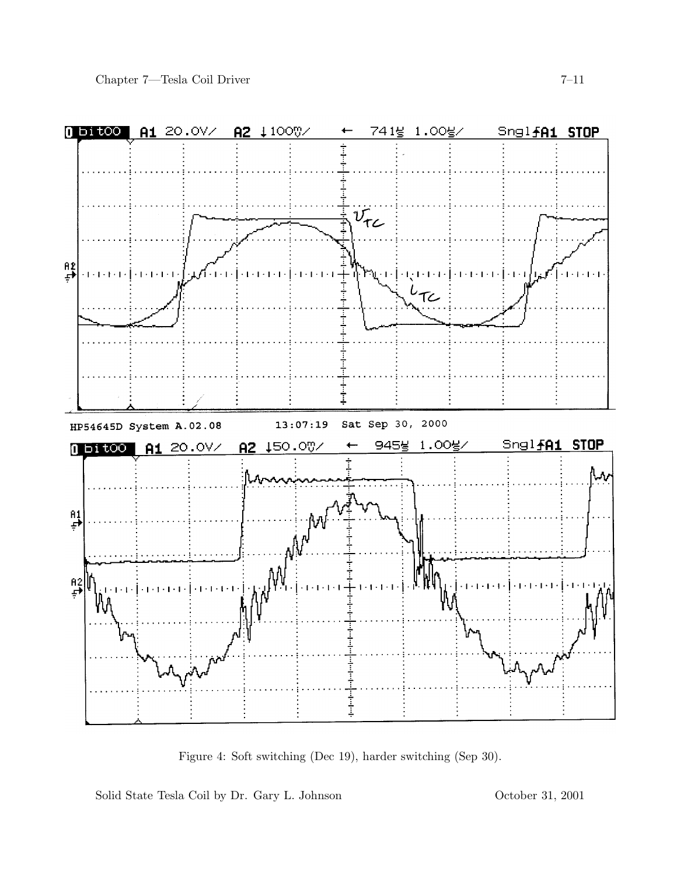

Figure 4: Soft switching (Dec 19), harder switching (Sep 30).

Solid State Tesla Coil by Dr. Gary L. Johnson October 31, 2001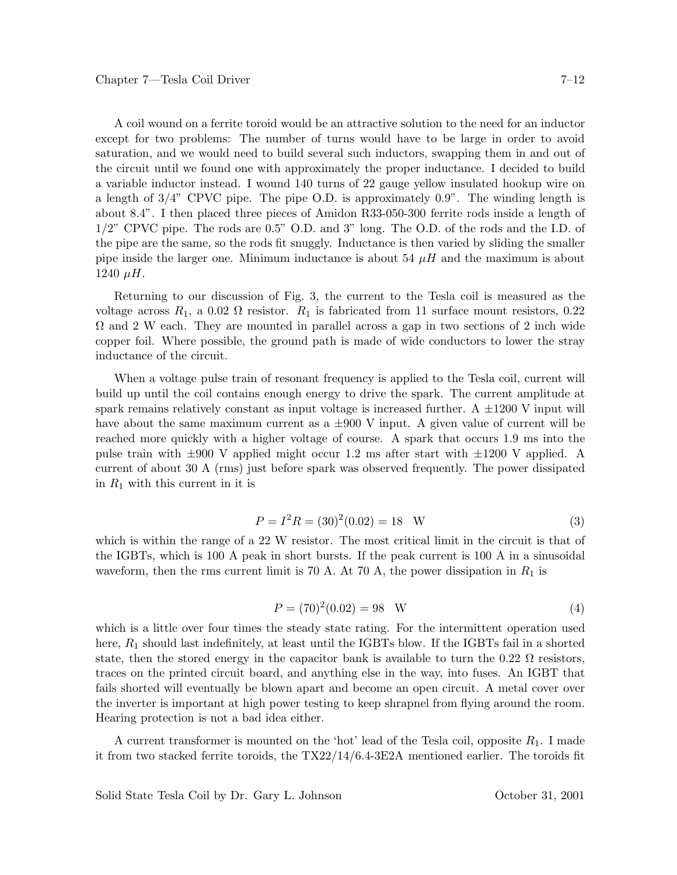A coil wound on a ferrite toroid would be an attractive solution to the need for an inductor except for two problems: The number of turns would have to be large in order to avoid saturation, and we would need to build several such inductors, swapping them in and out of the circuit until we found one with approximately the proper inductance. I decided to build a variable inductor instead. I wound 140 turns of 22 gauge yellow insulated hookup wire on a length of  $3/4$ " CPVC pipe. The pipe O.D. is approximately 0.9". The winding length is about 8.4". I then placed three pieces of Amidon R33-050-300 ferrite rods inside a length of 1/2" CPVC pipe. The rods are 0.5" O.D. and 3" long. The O.D. of the rods and the I.D. of the pipe are the same, so the rods fit snuggly. Inductance is then varied by sliding the smaller pipe inside the larger one. Minimum inductance is about 54 *µH* and the maximum is about  $1240 \mu H$ .

Returning to our discussion of Fig. 3, the current to the Tesla coil is measured as the voltage across  $R_1$ , a 0.02  $\Omega$  resistor.  $R_1$  is fabricated from 11 surface mount resistors, 0.22  $\Omega$  and 2 W each. They are mounted in parallel across a gap in two sections of 2 inch wide copper foil. Where possible, the ground path is made of wide conductors to lower the stray inductance of the circuit.

When a voltage pulse train of resonant frequency is applied to the Tesla coil, current will build up until the coil contains enough energy to drive the spark. The current amplitude at spark remains relatively constant as input voltage is increased further. A  $\pm 1200$  V input will have about the same maximum current as a  $\pm 900$  V input. A given value of current will be reached more quickly with a higher voltage of course. A spark that occurs 1.9 ms into the pulse train with  $\pm 900$  V applied might occur 1.2 ms after start with  $\pm 1200$  V applied. A current of about 30 A (rms) just before spark was observed frequently. The power dissipated in  $R_1$  with this current in it is

$$
P = I^2 R = (30)^2 (0.02) = 18 \quad W \tag{3}
$$

which is within the range of a 22 W resistor. The most critical limit in the circuit is that of the IGBTs, which is 100 A peak in short bursts. If the peak current is 100 A in a sinusoidal waveform, then the rms current limit is 70 A. At 70 A, the power dissipation in *R*<sup>1</sup> is

$$
P = (70)^{2}(0.02) = 98 \quad W \tag{4}
$$

which is a little over four times the steady state rating. For the intermittent operation used here,  $R_1$  should last indefinitely, at least until the IGBTs blow. If the IGBTs fail in a shorted state, then the stored energy in the capacitor bank is available to turn the 0.22  $\Omega$  resistors, traces on the printed circuit board, and anything else in the way, into fuses. An IGBT that fails shorted will eventually be blown apart and become an open circuit. A metal cover over the inverter is important at high power testing to keep shrapnel from flying around the room. Hearing protection is not a bad idea either.

A current transformer is mounted on the 'hot' lead of the Tesla coil, opposite *R*1. I made it from two stacked ferrite toroids, the TX22/14/6.4-3E2A mentioned earlier. The toroids fit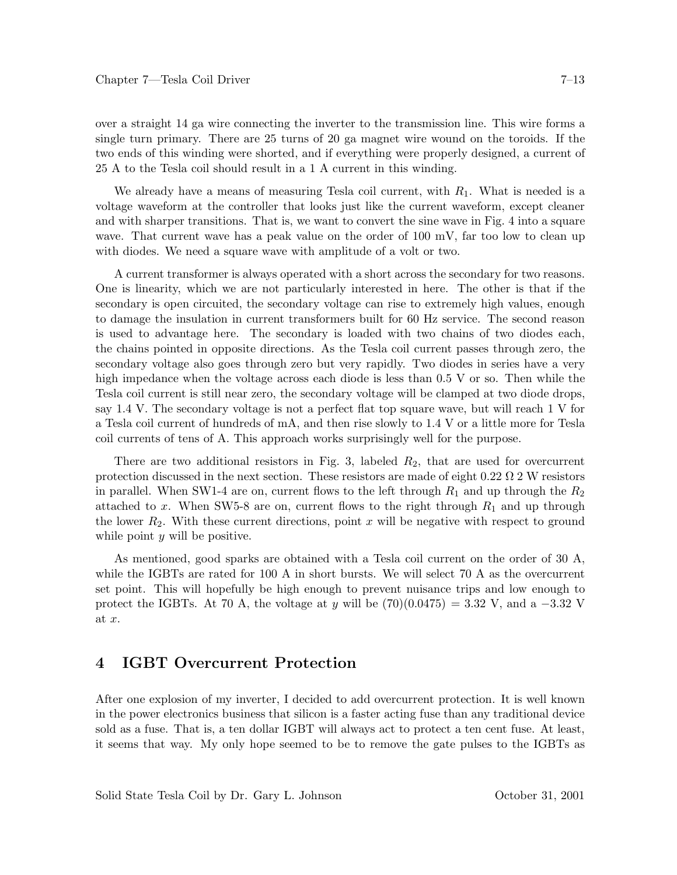over a straight 14 ga wire connecting the inverter to the transmission line. This wire forms a single turn primary. There are 25 turns of 20 ga magnet wire wound on the toroids. If the two ends of this winding were shorted, and if everything were properly designed, a current of 25 A to the Tesla coil should result in a 1 A current in this winding.

We already have a means of measuring Tesla coil current, with *R*1. What is needed is a voltage waveform at the controller that looks just like the current waveform, except cleaner and with sharper transitions. That is, we want to convert the sine wave in Fig. 4 into a square wave. That current wave has a peak value on the order of 100 mV, far too low to clean up with diodes. We need a square wave with amplitude of a volt or two.

A current transformer is always operated with a short across the secondary for two reasons. One is linearity, which we are not particularly interested in here. The other is that if the secondary is open circuited, the secondary voltage can rise to extremely high values, enough to damage the insulation in current transformers built for 60 Hz service. The second reason is used to advantage here. The secondary is loaded with two chains of two diodes each, the chains pointed in opposite directions. As the Tesla coil current passes through zero, the secondary voltage also goes through zero but very rapidly. Two diodes in series have a very high impedance when the voltage across each diode is less than 0.5 V or so. Then while the Tesla coil current is still near zero, the secondary voltage will be clamped at two diode drops, say 1.4 V. The secondary voltage is not a perfect flat top square wave, but will reach 1 V for a Tesla coil current of hundreds of mA, and then rise slowly to 1.4 V or a little more for Tesla coil currents of tens of A. This approach works surprisingly well for the purpose.

There are two additional resistors in Fig. 3, labeled *R*2, that are used for overcurrent protection discussed in the next section. These resistors are made of eight  $0.22 \Omega$  2 W resistors in parallel. When SW1-4 are on, current flows to the left through  $R_1$  and up through the  $R_2$ attached to x. When SW5-8 are on, current flows to the right through  $R_1$  and up through the lower  $R_2$ . With these current directions, point x will be negative with respect to ground while point *y* will be positive.

As mentioned, good sparks are obtained with a Tesla coil current on the order of 30 A, while the IGBTs are rated for 100 A in short bursts. We will select 70 A as the overcurrent set point. This will hopefully be high enough to prevent nuisance trips and low enough to protect the IGBTs. At 70 A, the voltage at *y* will be (70)(0.0475) = 3.32 V, and a −3*.*32 V at *x*.

# **4 IGBT Overcurrent Protection**

After one explosion of my inverter, I decided to add overcurrent protection. It is well known in the power electronics business that silicon is a faster acting fuse than any traditional device sold as a fuse. That is, a ten dollar IGBT will always act to protect a ten cent fuse. At least, it seems that way. My only hope seemed to be to remove the gate pulses to the IGBTs as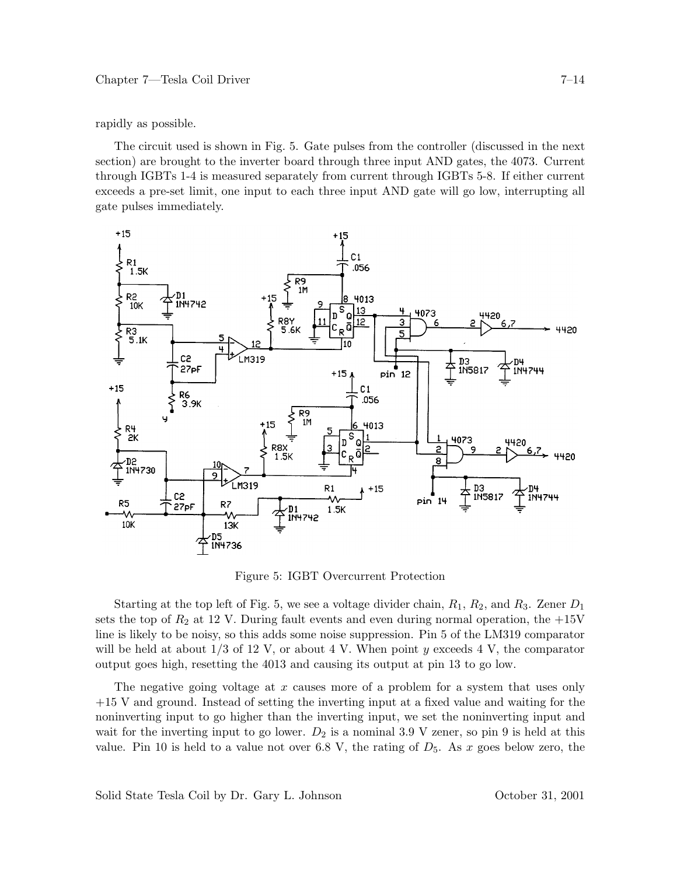rapidly as possible.

The circuit used is shown in Fig. 5. Gate pulses from the controller (discussed in the next section) are brought to the inverter board through three input AND gates, the 4073. Current through IGBTs 1-4 is measured separately from current through IGBTs 5-8. If either current exceeds a pre-set limit, one input to each three input AND gate will go low, interrupting all gate pulses immediately.



Figure 5: IGBT Overcurrent Protection

Starting at the top left of Fig. 5, we see a voltage divider chain, *R*1, *R*2, and *R*3. Zener *D*<sup>1</sup> sets the top of  $R_2$  at 12 V. During fault events and even during normal operation, the  $+15V$ line is likely to be noisy, so this adds some noise suppression. Pin 5 of the LM319 comparator will be held at about 1/3 of 12 V, or about 4 V. When point *y* exceeds 4 V, the comparator output goes high, resetting the 4013 and causing its output at pin 13 to go low.

The negative going voltage at *x* causes more of a problem for a system that uses only +15 V and ground. Instead of setting the inverting input at a fixed value and waiting for the noninverting input to go higher than the inverting input, we set the noninverting input and wait for the inverting input to go lower.  $D_2$  is a nominal 3.9 V zener, so pin 9 is held at this value. Pin 10 is held to a value not over 6.8 V, the rating of  $D_5$ . As x goes below zero, the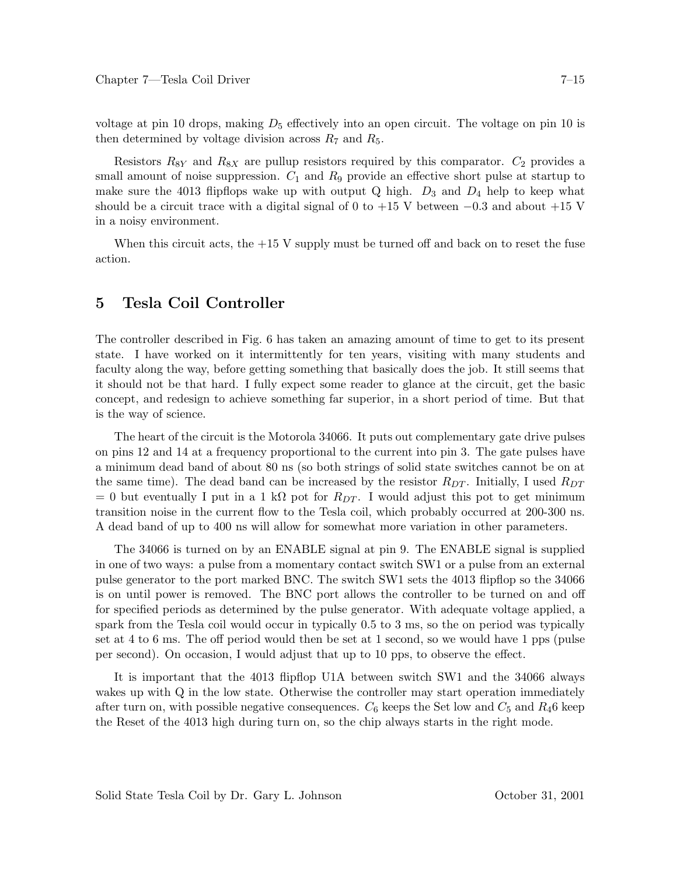voltage at pin 10 drops, making *D*<sup>5</sup> effectively into an open circuit. The voltage on pin 10 is then determined by voltage division across  $R_7$  and  $R_5$ .

Resistors  $R_{8Y}$  and  $R_{8X}$  are pullup resistors required by this comparator.  $C_2$  provides a small amount of noise suppression.  $C_1$  and  $R_9$  provide an effective short pulse at startup to make sure the 4013 flipflops wake up with output Q high.  $D_3$  and  $D_4$  help to keep what should be a circuit trace with a digital signal of 0 to  $+15$  V between  $-0.3$  and about  $+15$  V in a noisy environment.

When this circuit acts, the  $+15$  V supply must be turned off and back on to reset the fuse action.

#### **5 Tesla Coil Controller**

The controller described in Fig. 6 has taken an amazing amount of time to get to its present state. I have worked on it intermittently for ten years, visiting with many students and faculty along the way, before getting something that basically does the job. It still seems that it should not be that hard. I fully expect some reader to glance at the circuit, get the basic concept, and redesign to achieve something far superior, in a short period of time. But that is the way of science.

The heart of the circuit is the Motorola 34066. It puts out complementary gate drive pulses on pins 12 and 14 at a frequency proportional to the current into pin 3. The gate pulses have a minimum dead band of about 80 ns (so both strings of solid state switches cannot be on at the same time). The dead band can be increased by the resistor *RDT* . Initially, I used *RDT*  $= 0$  but eventually I put in a 1 kΩ pot for  $R_{DT}$ . I would adjust this pot to get minimum transition noise in the current flow to the Tesla coil, which probably occurred at 200-300 ns. A dead band of up to 400 ns will allow for somewhat more variation in other parameters.

The 34066 is turned on by an ENABLE signal at pin 9. The ENABLE signal is supplied in one of two ways: a pulse from a momentary contact switch SW1 or a pulse from an external pulse generator to the port marked BNC. The switch SW1 sets the 4013 flipflop so the 34066 is on until power is removed. The BNC port allows the controller to be turned on and off for specified periods as determined by the pulse generator. With adequate voltage applied, a spark from the Tesla coil would occur in typically 0.5 to 3 ms, so the on period was typically set at 4 to 6 ms. The off period would then be set at 1 second, so we would have 1 pps (pulse per second). On occasion, I would adjust that up to 10 pps, to observe the effect.

It is important that the 4013 flipflop U1A between switch SW1 and the 34066 always wakes up with Q in the low state. Otherwise the controller may start operation immediately after turn on, with possible negative consequences.  $C_6$  keeps the Set low and  $C_5$  and  $R_4$ 6 keep the Reset of the 4013 high during turn on, so the chip always starts in the right mode.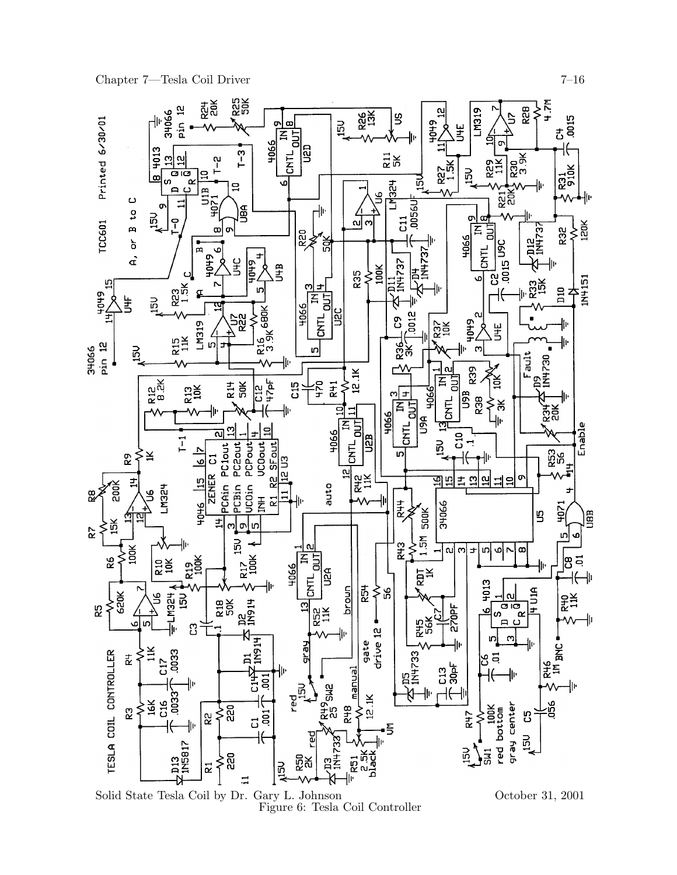Chapter 7—Tesla Coil Driver 7—16



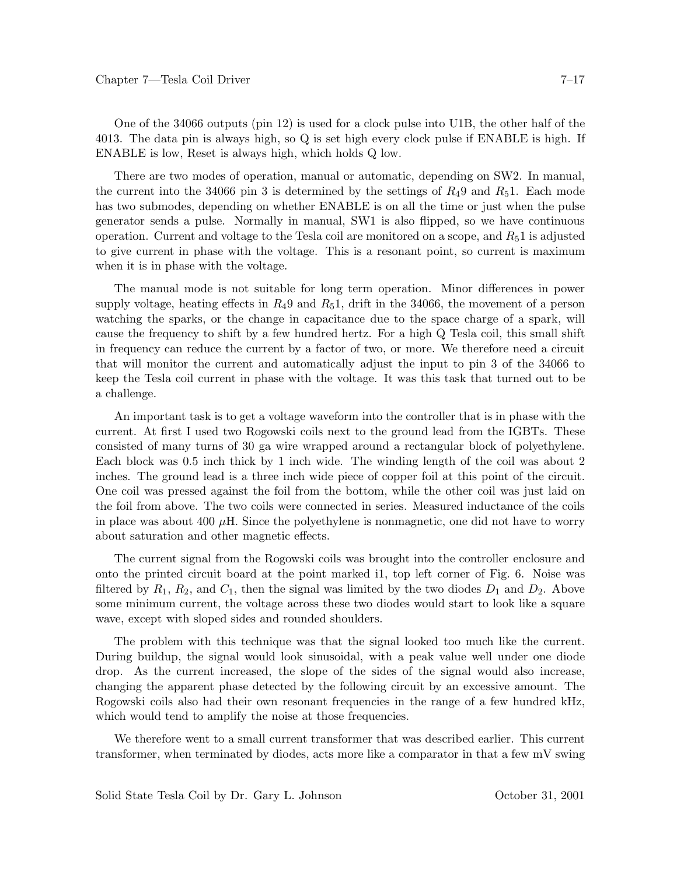One of the 34066 outputs (pin 12) is used for a clock pulse into U1B, the other half of the 4013. The data pin is always high, so Q is set high every clock pulse if ENABLE is high. If ENABLE is low, Reset is always high, which holds Q low.

There are two modes of operation, manual or automatic, depending on SW2. In manual, the current into the 34066 pin 3 is determined by the settings of  $R_4$ 9 and  $R_5$ 1. Each mode has two submodes, depending on whether ENABLE is on all the time or just when the pulse generator sends a pulse. Normally in manual, SW1 is also flipped, so we have continuous operation. Current and voltage to the Tesla coil are monitored on a scope, and *R*51 is adjusted to give current in phase with the voltage. This is a resonant point, so current is maximum when it is in phase with the voltage.

The manual mode is not suitable for long term operation. Minor differences in power supply voltage, heating effects in  $R_49$  and  $R_51$ , drift in the 34066, the movement of a person watching the sparks, or the change in capacitance due to the space charge of a spark, will cause the frequency to shift by a few hundred hertz. For a high Q Tesla coil, this small shift in frequency can reduce the current by a factor of two, or more. We therefore need a circuit that will monitor the current and automatically adjust the input to pin 3 of the 34066 to keep the Tesla coil current in phase with the voltage. It was this task that turned out to be a challenge.

An important task is to get a voltage waveform into the controller that is in phase with the current. At first I used two Rogowski coils next to the ground lead from the IGBTs. These consisted of many turns of 30 ga wire wrapped around a rectangular block of polyethylene. Each block was 0.5 inch thick by 1 inch wide. The winding length of the coil was about 2 inches. The ground lead is a three inch wide piece of copper foil at this point of the circuit. One coil was pressed against the foil from the bottom, while the other coil was just laid on the foil from above. The two coils were connected in series. Measured inductance of the coils in place was about  $400 \mu$ H. Since the polyethylene is nonmagnetic, one did not have to worry about saturation and other magnetic effects.

The current signal from the Rogowski coils was brought into the controller enclosure and onto the printed circuit board at the point marked i1, top left corner of Fig. 6. Noise was filtered by  $R_1$ ,  $R_2$ , and  $C_1$ , then the signal was limited by the two diodes  $D_1$  and  $D_2$ . Above some minimum current, the voltage across these two diodes would start to look like a square wave, except with sloped sides and rounded shoulders.

The problem with this technique was that the signal looked too much like the current. During buildup, the signal would look sinusoidal, with a peak value well under one diode drop. As the current increased, the slope of the sides of the signal would also increase, changing the apparent phase detected by the following circuit by an excessive amount. The Rogowski coils also had their own resonant frequencies in the range of a few hundred kHz, which would tend to amplify the noise at those frequencies.

We therefore went to a small current transformer that was described earlier. This current transformer, when terminated by diodes, acts more like a comparator in that a few mV swing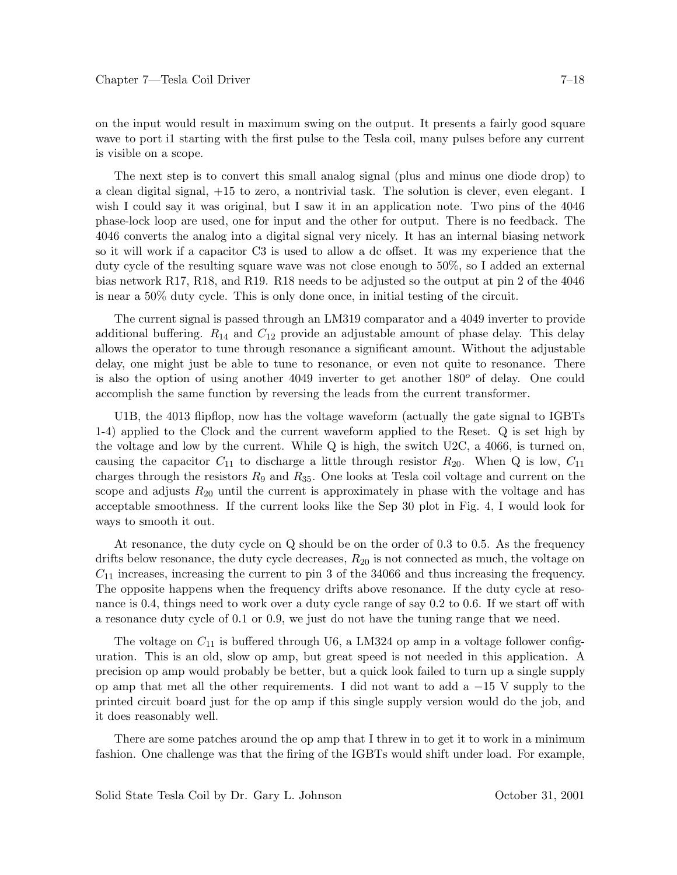on the input would result in maximum swing on the output. It presents a fairly good square wave to port i1 starting with the first pulse to the Tesla coil, many pulses before any current is visible on a scope.

The next step is to convert this small analog signal (plus and minus one diode drop) to a clean digital signal, +15 to zero, a nontrivial task. The solution is clever, even elegant. I wish I could say it was original, but I saw it in an application note. Two pins of the 4046 phase-lock loop are used, one for input and the other for output. There is no feedback. The 4046 converts the analog into a digital signal very nicely. It has an internal biasing network so it will work if a capacitor C3 is used to allow a dc offset. It was my experience that the duty cycle of the resulting square wave was not close enough to 50%, so I added an external bias network R17, R18, and R19. R18 needs to be adjusted so the output at pin 2 of the 4046 is near a 50% duty cycle. This is only done once, in initial testing of the circuit.

The current signal is passed through an LM319 comparator and a 4049 inverter to provide additional buffering. *R*<sup>14</sup> and *C*<sup>12</sup> provide an adjustable amount of phase delay. This delay allows the operator to tune through resonance a significant amount. Without the adjustable delay, one might just be able to tune to resonance, or even not quite to resonance. There is also the option of using another 4049 inverter to get another  $180^{\circ}$  of delay. One could accomplish the same function by reversing the leads from the current transformer.

U1B, the 4013 flipflop, now has the voltage waveform (actually the gate signal to IGBTs 1-4) applied to the Clock and the current waveform applied to the Reset. Q is set high by the voltage and low by the current. While Q is high, the switch U2C, a 4066, is turned on, causing the capacitor  $C_{11}$  to discharge a little through resistor  $R_{20}$ . When Q is low,  $C_{11}$ charges through the resistors *R*<sup>9</sup> and *R*35. One looks at Tesla coil voltage and current on the scope and adjusts  $R_{20}$  until the current is approximately in phase with the voltage and has acceptable smoothness. If the current looks like the Sep 30 plot in Fig. 4, I would look for ways to smooth it out.

At resonance, the duty cycle on Q should be on the order of 0.3 to 0.5. As the frequency drifts below resonance, the duty cycle decreases, *R*<sup>20</sup> is not connected as much, the voltage on *C*<sup>11</sup> increases, increasing the current to pin 3 of the 34066 and thus increasing the frequency. The opposite happens when the frequency drifts above resonance. If the duty cycle at resonance is 0.4, things need to work over a duty cycle range of say 0.2 to 0.6. If we start off with a resonance duty cycle of 0.1 or 0.9, we just do not have the tuning range that we need.

The voltage on *C*<sup>11</sup> is buffered through U6, a LM324 op amp in a voltage follower configuration. This is an old, slow op amp, but great speed is not needed in this application. A precision op amp would probably be better, but a quick look failed to turn up a single supply op amp that met all the other requirements. I did not want to add a −15 V supply to the printed circuit board just for the op amp if this single supply version would do the job, and it does reasonably well.

There are some patches around the op amp that I threw in to get it to work in a minimum fashion. One challenge was that the firing of the IGBTs would shift under load. For example,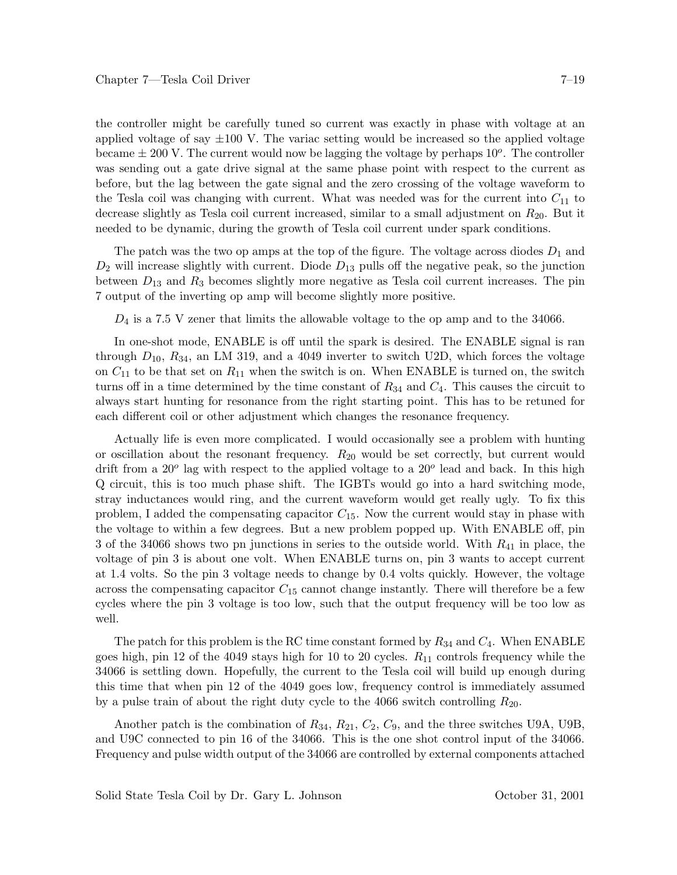the controller might be carefully tuned so current was exactly in phase with voltage at an applied voltage of say  $\pm 100$  V. The variac setting would be increased so the applied voltage became  $\pm$  200 V. The current would now be lagging the voltage by perhaps  $10^o$ . The controller was sending out a gate drive signal at the same phase point with respect to the current as before, but the lag between the gate signal and the zero crossing of the voltage waveform to the Tesla coil was changing with current. What was needed was for the current into  $C_{11}$  to decrease slightly as Tesla coil current increased, similar to a small adjustment on *R*20. But it needed to be dynamic, during the growth of Tesla coil current under spark conditions.

The patch was the two op amps at the top of the figure. The voltage across diodes  $D_1$  and  $D_2$  will increase slightly with current. Diode  $D_{13}$  pulls off the negative peak, so the junction between *D*<sup>13</sup> and *R*<sup>3</sup> becomes slightly more negative as Tesla coil current increases. The pin 7 output of the inverting op amp will become slightly more positive.

*D*<sub>4</sub> is a 7.5 V zener that limits the allowable voltage to the op amp and to the 34066.

In one-shot mode, ENABLE is off until the spark is desired. The ENABLE signal is ran through  $D_{10}$ ,  $R_{34}$ , an LM 319, and a 4049 inverter to switch U2D, which forces the voltage on  $C_{11}$  to be that set on  $R_{11}$  when the switch is on. When ENABLE is turned on, the switch turns off in a time determined by the time constant of *R*<sup>34</sup> and *C*4. This causes the circuit to always start hunting for resonance from the right starting point. This has to be retuned for each different coil or other adjustment which changes the resonance frequency.

Actually life is even more complicated. I would occasionally see a problem with hunting or oscillation about the resonant frequency. *R*<sup>20</sup> would be set correctly, but current would drift from a 20<sup>o</sup> lag with respect to the applied voltage to a 20<sup>o</sup> lead and back. In this high Q circuit, this is too much phase shift. The IGBTs would go into a hard switching mode, stray inductances would ring, and the current waveform would get really ugly. To fix this problem, I added the compensating capacitor *C*15. Now the current would stay in phase with the voltage to within a few degrees. But a new problem popped up. With ENABLE off, pin 3 of the 34066 shows two pn junctions in series to the outside world. With *R*<sup>41</sup> in place, the voltage of pin 3 is about one volt. When ENABLE turns on, pin 3 wants to accept current at 1.4 volts. So the pin 3 voltage needs to change by 0.4 volts quickly. However, the voltage across the compensating capacitor *C*<sup>15</sup> cannot change instantly. There will therefore be a few cycles where the pin 3 voltage is too low, such that the output frequency will be too low as well.

The patch for this problem is the RC time constant formed by *R*<sup>34</sup> and *C*4. When ENABLE goes high, pin 12 of the 4049 stays high for 10 to 20 cycles. *R*<sup>11</sup> controls frequency while the 34066 is settling down. Hopefully, the current to the Tesla coil will build up enough during this time that when pin 12 of the 4049 goes low, frequency control is immediately assumed by a pulse train of about the right duty cycle to the 4066 switch controlling *R*20.

Another patch is the combination of *R*34, *R*21, *C*2, *C*9, and the three switches U9A, U9B, and U9C connected to pin 16 of the 34066. This is the one shot control input of the 34066. Frequency and pulse width output of the 34066 are controlled by external components attached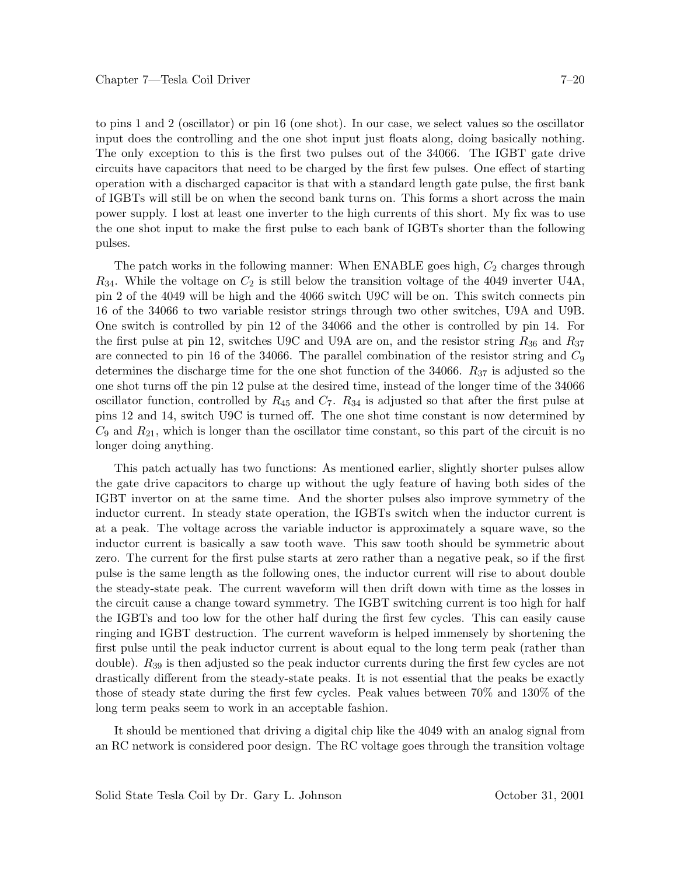to pins 1 and 2 (oscillator) or pin 16 (one shot). In our case, we select values so the oscillator input does the controlling and the one shot input just floats along, doing basically nothing. The only exception to this is the first two pulses out of the 34066. The IGBT gate drive circuits have capacitors that need to be charged by the first few pulses. One effect of starting operation with a discharged capacitor is that with a standard length gate pulse, the first bank of IGBTs will still be on when the second bank turns on. This forms a short across the main power supply. I lost at least one inverter to the high currents of this short. My fix was to use the one shot input to make the first pulse to each bank of IGBTs shorter than the following pulses.

The patch works in the following manner: When ENABLE goes high,  $C_2$  charges through *R*34. While the voltage on *C*<sup>2</sup> is still below the transition voltage of the 4049 inverter U4A, pin 2 of the 4049 will be high and the 4066 switch U9C will be on. This switch connects pin 16 of the 34066 to two variable resistor strings through two other switches, U9A and U9B. One switch is controlled by pin 12 of the 34066 and the other is controlled by pin 14. For the first pulse at pin 12, switches U9C and U9A are on, and the resistor string *R*<sup>36</sup> and *R*<sup>37</sup> are connected to pin 16 of the 34066. The parallel combination of the resistor string and *C*<sup>9</sup> determines the discharge time for the one shot function of the 34066. *R*<sup>37</sup> is adjusted so the one shot turns off the pin 12 pulse at the desired time, instead of the longer time of the 34066 oscillator function, controlled by  $R_{45}$  and  $C_7$ .  $R_{34}$  is adjusted so that after the first pulse at pins 12 and 14, switch U9C is turned off. The one shot time constant is now determined by  $C_9$  and  $R_{21}$ , which is longer than the oscillator time constant, so this part of the circuit is no longer doing anything.

This patch actually has two functions: As mentioned earlier, slightly shorter pulses allow the gate drive capacitors to charge up without the ugly feature of having both sides of the IGBT invertor on at the same time. And the shorter pulses also improve symmetry of the inductor current. In steady state operation, the IGBTs switch when the inductor current is at a peak. The voltage across the variable inductor is approximately a square wave, so the inductor current is basically a saw tooth wave. This saw tooth should be symmetric about zero. The current for the first pulse starts at zero rather than a negative peak, so if the first pulse is the same length as the following ones, the inductor current will rise to about double the steady-state peak. The current waveform will then drift down with time as the losses in the circuit cause a change toward symmetry. The IGBT switching current is too high for half the IGBTs and too low for the other half during the first few cycles. This can easily cause ringing and IGBT destruction. The current waveform is helped immensely by shortening the first pulse until the peak inductor current is about equal to the long term peak (rather than double). *R*<sup>39</sup> is then adjusted so the peak inductor currents during the first few cycles are not drastically different from the steady-state peaks. It is not essential that the peaks be exactly those of steady state during the first few cycles. Peak values between 70% and 130% of the long term peaks seem to work in an acceptable fashion.

It should be mentioned that driving a digital chip like the 4049 with an analog signal from an RC network is considered poor design. The RC voltage goes through the transition voltage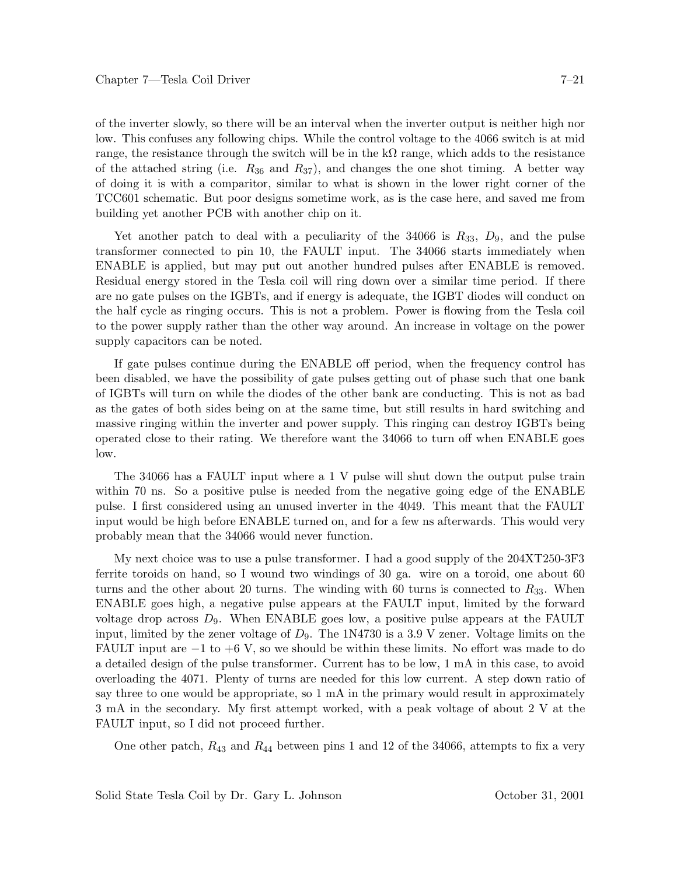of the inverter slowly, so there will be an interval when the inverter output is neither high nor low. This confuses any following chips. While the control voltage to the 4066 switch is at mid range, the resistance through the switch will be in the  $k\Omega$  range, which adds to the resistance of the attached string (i.e.  $R_{36}$  and  $R_{37}$ ), and changes the one shot timing. A better way of doing it is with a comparitor, similar to what is shown in the lower right corner of the TCC601 schematic. But poor designs sometime work, as is the case here, and saved me from building yet another PCB with another chip on it.

Yet another patch to deal with a peculiarity of the  $34066$  is  $R_{33}$ ,  $D_9$ , and the pulse transformer connected to pin 10, the FAULT input. The 34066 starts immediately when ENABLE is applied, but may put out another hundred pulses after ENABLE is removed. Residual energy stored in the Tesla coil will ring down over a similar time period. If there are no gate pulses on the IGBTs, and if energy is adequate, the IGBT diodes will conduct on the half cycle as ringing occurs. This is not a problem. Power is flowing from the Tesla coil to the power supply rather than the other way around. An increase in voltage on the power supply capacitors can be noted.

If gate pulses continue during the ENABLE off period, when the frequency control has been disabled, we have the possibility of gate pulses getting out of phase such that one bank of IGBTs will turn on while the diodes of the other bank are conducting. This is not as bad as the gates of both sides being on at the same time, but still results in hard switching and massive ringing within the inverter and power supply. This ringing can destroy IGBTs being operated close to their rating. We therefore want the 34066 to turn off when ENABLE goes low.

The 34066 has a FAULT input where a 1 V pulse will shut down the output pulse train within 70 ns. So a positive pulse is needed from the negative going edge of the ENABLE pulse. I first considered using an unused inverter in the 4049. This meant that the FAULT input would be high before ENABLE turned on, and for a few ns afterwards. This would very probably mean that the 34066 would never function.

My next choice was to use a pulse transformer. I had a good supply of the 204XT250-3F3 ferrite toroids on hand, so I wound two windings of 30 ga. wire on a toroid, one about 60 turns and the other about 20 turns. The winding with 60 turns is connected to  $R_{33}$ . When ENABLE goes high, a negative pulse appears at the FAULT input, limited by the forward voltage drop across  $D_9$ . When ENABLE goes low, a positive pulse appears at the FAULT input, limited by the zener voltage of *D*9. The 1N4730 is a 3.9 V zener. Voltage limits on the FAULT input are  $-1$  to  $+6$  V, so we should be within these limits. No effort was made to do a detailed design of the pulse transformer. Current has to be low, 1 mA in this case, to avoid overloading the 4071. Plenty of turns are needed for this low current. A step down ratio of say three to one would be appropriate, so 1 mA in the primary would result in approximately 3 mA in the secondary. My first attempt worked, with a peak voltage of about 2 V at the FAULT input, so I did not proceed further.

One other patch, *R*<sup>43</sup> and *R*<sup>44</sup> between pins 1 and 12 of the 34066, attempts to fix a very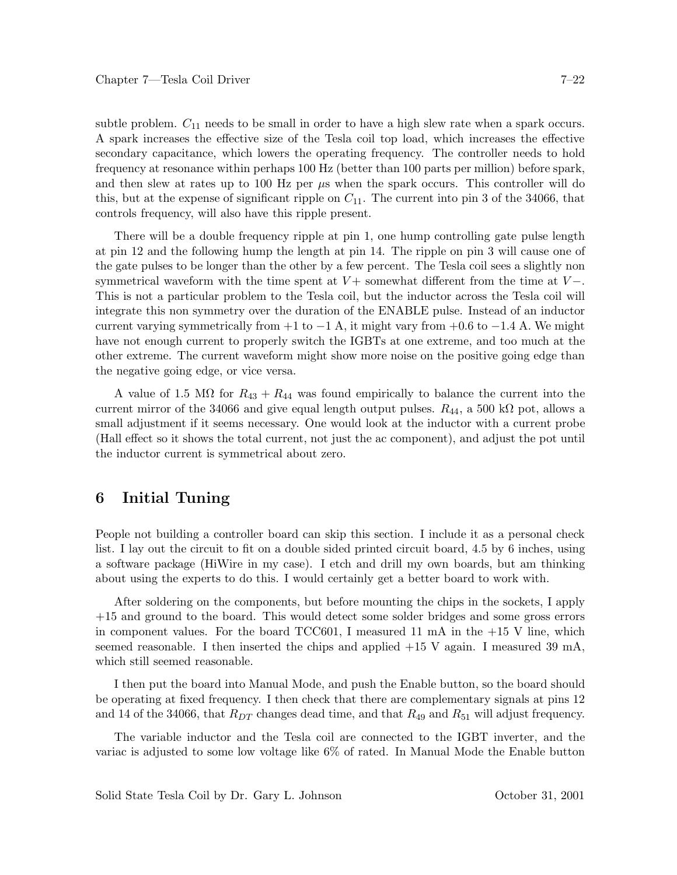subtle problem.  $C_{11}$  needs to be small in order to have a high slew rate when a spark occurs. A spark increases the effective size of the Tesla coil top load, which increases the effective secondary capacitance, which lowers the operating frequency. The controller needs to hold frequency at resonance within perhaps 100 Hz (better than 100 parts per million) before spark, and then slew at rates up to 100 Hz per *µ*s when the spark occurs. This controller will do this, but at the expense of significant ripple on  $C_{11}$ . The current into pin 3 of the 34066, that controls frequency, will also have this ripple present.

There will be a double frequency ripple at pin 1, one hump controlling gate pulse length at pin 12 and the following hump the length at pin 14. The ripple on pin 3 will cause one of the gate pulses to be longer than the other by a few percent. The Tesla coil sees a slightly non symmetrical waveform with the time spent at *V* + somewhat different from the time at *V* −. This is not a particular problem to the Tesla coil, but the inductor across the Tesla coil will integrate this non symmetry over the duration of the ENABLE pulse. Instead of an inductor current varying symmetrically from  $+1$  to  $-1$  A, it might vary from  $+0.6$  to  $-1.4$  A. We might have not enough current to properly switch the IGBTs at one extreme, and too much at the other extreme. The current waveform might show more noise on the positive going edge than the negative going edge, or vice versa.

A value of 1.5 M $\Omega$  for  $R_{43} + R_{44}$  was found empirically to balance the current into the current mirror of the 34066 and give equal length output pulses.  $R_{44}$ , a 500 k $\Omega$  pot, allows a small adjustment if it seems necessary. One would look at the inductor with a current probe (Hall effect so it shows the total current, not just the ac component), and adjust the pot until the inductor current is symmetrical about zero.

# **6 Initial Tuning**

People not building a controller board can skip this section. I include it as a personal check list. I lay out the circuit to fit on a double sided printed circuit board, 4.5 by 6 inches, using a software package (HiWire in my case). I etch and drill my own boards, but am thinking about using the experts to do this. I would certainly get a better board to work with.

After soldering on the components, but before mounting the chips in the sockets, I apply +15 and ground to the board. This would detect some solder bridges and some gross errors in component values. For the board TCC601, I measured 11 mA in the +15 V line, which seemed reasonable. I then inserted the chips and applied  $+15$  V again. I measured 39 mA, which still seemed reasonable.

I then put the board into Manual Mode, and push the Enable button, so the board should be operating at fixed frequency. I then check that there are complementary signals at pins 12 and 14 of the 34066, that *RDT* changes dead time, and that *R*<sup>49</sup> and *R*<sup>51</sup> will adjust frequency.

The variable inductor and the Tesla coil are connected to the IGBT inverter, and the variac is adjusted to some low voltage like 6% of rated. In Manual Mode the Enable button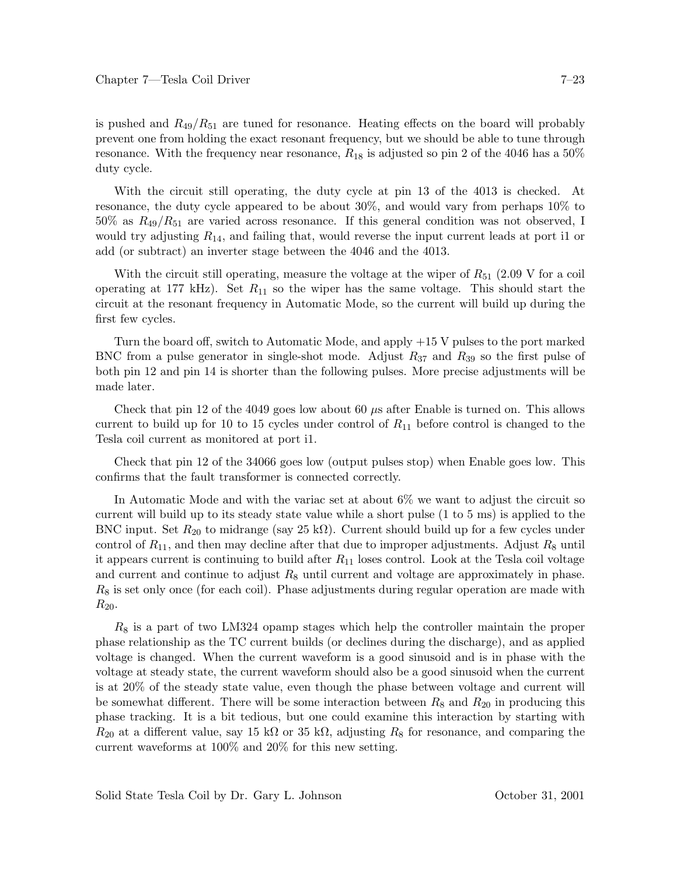is pushed and  $R_{49}/R_{51}$  are tuned for resonance. Heating effects on the board will probably prevent one from holding the exact resonant frequency, but we should be able to tune through resonance. With the frequency near resonance, *R*<sup>18</sup> is adjusted so pin 2 of the 4046 has a 50% duty cycle.

With the circuit still operating, the duty cycle at pin 13 of the 4013 is checked. At resonance, the duty cycle appeared to be about 30%, and would vary from perhaps 10% to  $50\%$  as  $R_{49}/R_{51}$  are varied across resonance. If this general condition was not observed, I would try adjusting *R*14, and failing that, would reverse the input current leads at port i1 or add (or subtract) an inverter stage between the 4046 and the 4013.

With the circuit still operating, measure the voltage at the wiper of  $R_{51}$  (2.09 V for a coil operating at 177 kHz). Set *R*<sup>11</sup> so the wiper has the same voltage. This should start the circuit at the resonant frequency in Automatic Mode, so the current will build up during the first few cycles.

Turn the board off, switch to Automatic Mode, and apply +15 V pulses to the port marked BNC from a pulse generator in single-shot mode. Adjust *R*<sup>37</sup> and *R*<sup>39</sup> so the first pulse of both pin 12 and pin 14 is shorter than the following pulses. More precise adjustments will be made later.

Check that pin 12 of the 4049 goes low about 60 *µ*s after Enable is turned on. This allows current to build up for 10 to 15 cycles under control of *R*<sup>11</sup> before control is changed to the Tesla coil current as monitored at port i1.

Check that pin 12 of the 34066 goes low (output pulses stop) when Enable goes low. This confirms that the fault transformer is connected correctly.

In Automatic Mode and with the variac set at about 6% we want to adjust the circuit so current will build up to its steady state value while a short pulse (1 to 5 ms) is applied to the BNC input. Set  $R_{20}$  to midrange (say 25 k $\Omega$ ). Current should build up for a few cycles under control of  $R_{11}$ , and then may decline after that due to improper adjustments. Adjust  $R_8$  until it appears current is continuing to build after *R*<sup>11</sup> loses control. Look at the Tesla coil voltage and current and continue to adjust *R*<sup>8</sup> until current and voltage are approximately in phase. *R*<sup>8</sup> is set only once (for each coil). Phase adjustments during regular operation are made with  $R_{20}$ .

*R*<sup>8</sup> is a part of two LM324 opamp stages which help the controller maintain the proper phase relationship as the TC current builds (or declines during the discharge), and as applied voltage is changed. When the current waveform is a good sinusoid and is in phase with the voltage at steady state, the current waveform should also be a good sinusoid when the current is at 20% of the steady state value, even though the phase between voltage and current will be somewhat different. There will be some interaction between *R*<sup>8</sup> and *R*<sup>20</sup> in producing this phase tracking. It is a bit tedious, but one could examine this interaction by starting with  $R_{20}$  at a different value, say 15 kΩ or 35 kΩ, adjusting  $R_8$  for resonance, and comparing the current waveforms at 100% and 20% for this new setting.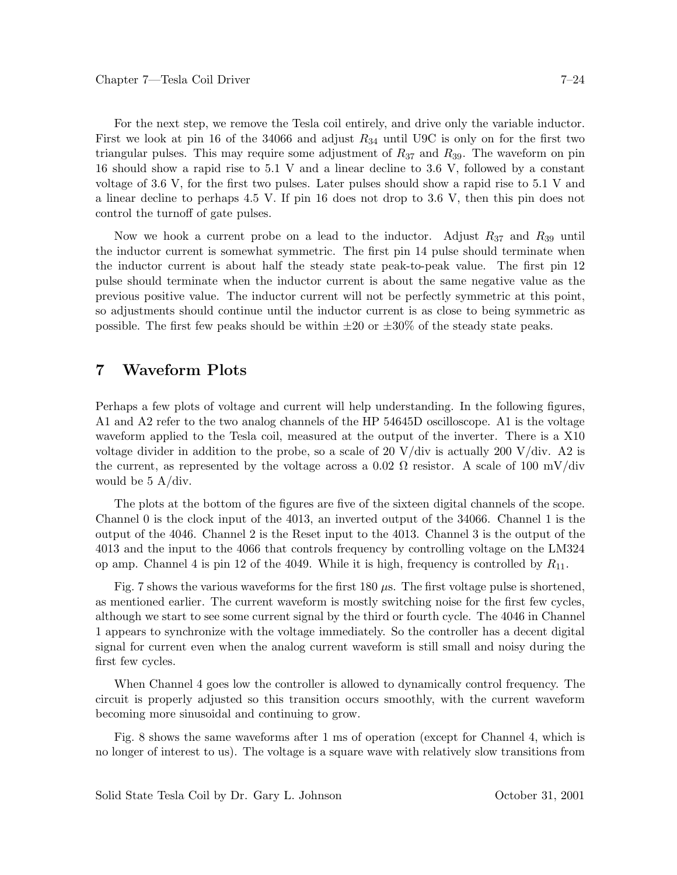For the next step, we remove the Tesla coil entirely, and drive only the variable inductor. First we look at pin 16 of the 34066 and adjust *R*<sup>34</sup> until U9C is only on for the first two triangular pulses. This may require some adjustment of *R*<sup>37</sup> and *R*39. The waveform on pin 16 should show a rapid rise to 5.1 V and a linear decline to 3.6 V, followed by a constant voltage of 3.6 V, for the first two pulses. Later pulses should show a rapid rise to 5.1 V and a linear decline to perhaps 4.5 V. If pin 16 does not drop to 3.6 V, then this pin does not control the turnoff of gate pulses.

Now we hook a current probe on a lead to the inductor. Adjust *R*<sup>37</sup> and *R*<sup>39</sup> until the inductor current is somewhat symmetric. The first pin 14 pulse should terminate when the inductor current is about half the steady state peak-to-peak value. The first pin 12 pulse should terminate when the inductor current is about the same negative value as the previous positive value. The inductor current will not be perfectly symmetric at this point, so adjustments should continue until the inductor current is as close to being symmetric as possible. The first few peaks should be within  $\pm 20$  or  $\pm 30\%$  of the steady state peaks.

#### **7 Waveform Plots**

Perhaps a few plots of voltage and current will help understanding. In the following figures, A1 and A2 refer to the two analog channels of the HP 54645D oscilloscope. A1 is the voltage waveform applied to the Tesla coil, measured at the output of the inverter. There is a X10 voltage divider in addition to the probe, so a scale of 20 V/div is actually 200 V/div. A2 is the current, as represented by the voltage across a 0.02  $\Omega$  resistor. A scale of 100 mV/div would be 5 A/div.

The plots at the bottom of the figures are five of the sixteen digital channels of the scope. Channel 0 is the clock input of the 4013, an inverted output of the 34066. Channel 1 is the output of the 4046. Channel 2 is the Reset input to the 4013. Channel 3 is the output of the 4013 and the input to the 4066 that controls frequency by controlling voltage on the LM324 op amp. Channel 4 is pin 12 of the 4049. While it is high, frequency is controlled by *R*11.

Fig. 7 shows the various waveforms for the first 180  $\mu$ s. The first voltage pulse is shortened, as mentioned earlier. The current waveform is mostly switching noise for the first few cycles, although we start to see some current signal by the third or fourth cycle. The 4046 in Channel 1 appears to synchronize with the voltage immediately. So the controller has a decent digital signal for current even when the analog current waveform is still small and noisy during the first few cycles.

When Channel 4 goes low the controller is allowed to dynamically control frequency. The circuit is properly adjusted so this transition occurs smoothly, with the current waveform becoming more sinusoidal and continuing to grow.

Fig. 8 shows the same waveforms after 1 ms of operation (except for Channel 4, which is no longer of interest to us). The voltage is a square wave with relatively slow transitions from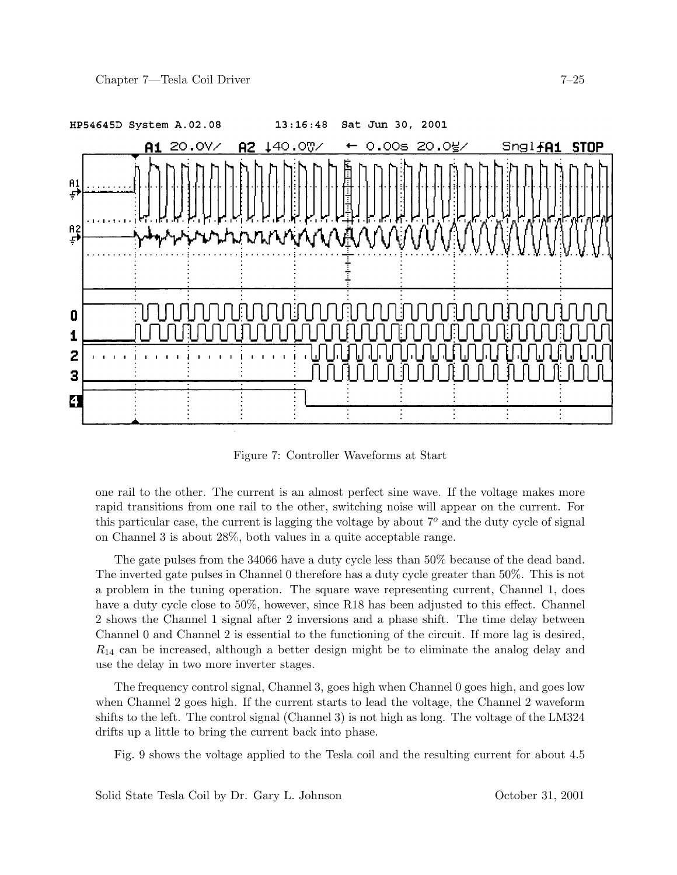

Figure 7: Controller Waveforms at Start

one rail to the other. The current is an almost perfect sine wave. If the voltage makes more rapid transitions from one rail to the other, switching noise will appear on the current. For this particular case, the current is lagging the voltage by about 7*<sup>o</sup>* and the duty cycle of signal on Channel 3 is about 28%, both values in a quite acceptable range.

The gate pulses from the 34066 have a duty cycle less than 50% because of the dead band. The inverted gate pulses in Channel 0 therefore has a duty cycle greater than 50%. This is not a problem in the tuning operation. The square wave representing current, Channel 1, does have a duty cycle close to 50%, however, since R18 has been adjusted to this effect. Channel 2 shows the Channel 1 signal after 2 inversions and a phase shift. The time delay between Channel 0 and Channel 2 is essential to the functioning of the circuit. If more lag is desired, *R*<sup>14</sup> can be increased, although a better design might be to eliminate the analog delay and use the delay in two more inverter stages.

The frequency control signal, Channel 3, goes high when Channel 0 goes high, and goes low when Channel 2 goes high. If the current starts to lead the voltage, the Channel 2 waveform shifts to the left. The control signal (Channel 3) is not high as long. The voltage of the LM324 drifts up a little to bring the current back into phase.

Fig. 9 shows the voltage applied to the Tesla coil and the resulting current for about 4.5

Solid State Tesla Coil by Dr. Gary L. Johnson October 31, 2001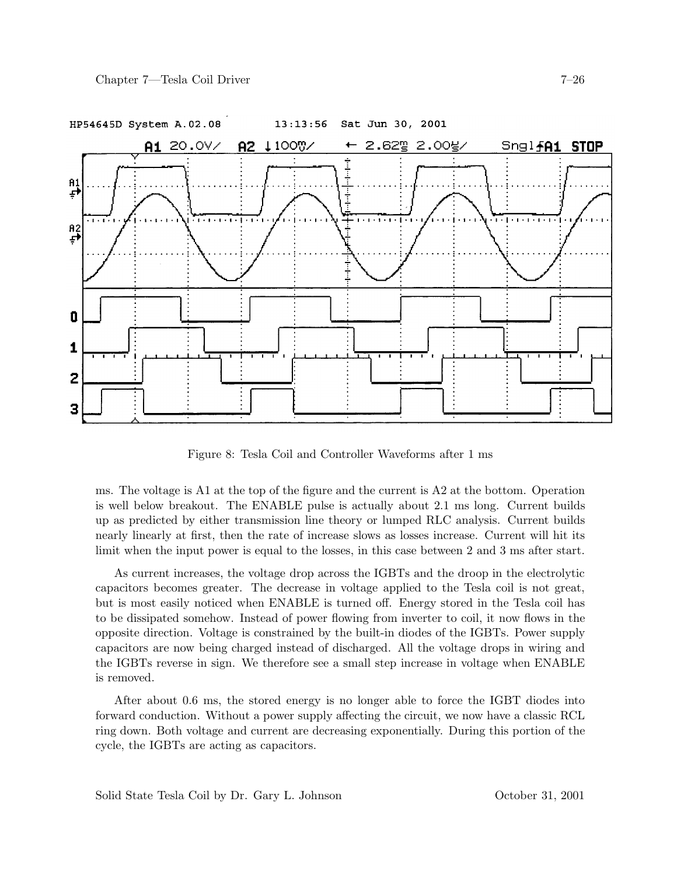

Figure 8: Tesla Coil and Controller Waveforms after 1 ms

ms. The voltage is A1 at the top of the figure and the current is A2 at the bottom. Operation is well below breakout. The ENABLE pulse is actually about 2.1 ms long. Current builds up as predicted by either transmission line theory or lumped RLC analysis. Current builds nearly linearly at first, then the rate of increase slows as losses increase. Current will hit its limit when the input power is equal to the losses, in this case between 2 and 3 ms after start.

As current increases, the voltage drop across the IGBTs and the droop in the electrolytic capacitors becomes greater. The decrease in voltage applied to the Tesla coil is not great, but is most easily noticed when ENABLE is turned off. Energy stored in the Tesla coil has to be dissipated somehow. Instead of power flowing from inverter to coil, it now flows in the opposite direction. Voltage is constrained by the built-in diodes of the IGBTs. Power supply capacitors are now being charged instead of discharged. All the voltage drops in wiring and the IGBTs reverse in sign. We therefore see a small step increase in voltage when ENABLE is removed.

After about 0.6 ms, the stored energy is no longer able to force the IGBT diodes into forward conduction. Without a power supply affecting the circuit, we now have a classic RCL ring down. Both voltage and current are decreasing exponentially. During this portion of the cycle, the IGBTs are acting as capacitors.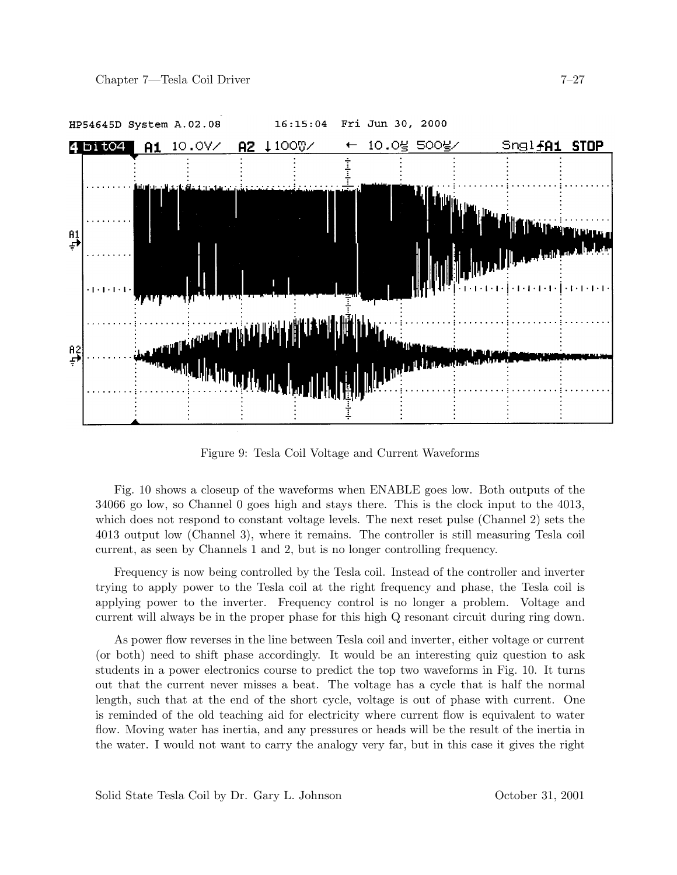

Figure 9: Tesla Coil Voltage and Current Waveforms

Fig. 10 shows a closeup of the waveforms when ENABLE goes low. Both outputs of the 34066 go low, so Channel 0 goes high and stays there. This is the clock input to the 4013, which does not respond to constant voltage levels. The next reset pulse (Channel 2) sets the 4013 output low (Channel 3), where it remains. The controller is still measuring Tesla coil current, as seen by Channels 1 and 2, but is no longer controlling frequency.

Frequency is now being controlled by the Tesla coil. Instead of the controller and inverter trying to apply power to the Tesla coil at the right frequency and phase, the Tesla coil is applying power to the inverter. Frequency control is no longer a problem. Voltage and current will always be in the proper phase for this high Q resonant circuit during ring down.

As power flow reverses in the line between Tesla coil and inverter, either voltage or current (or both) need to shift phase accordingly. It would be an interesting quiz question to ask students in a power electronics course to predict the top two waveforms in Fig. 10. It turns out that the current never misses a beat. The voltage has a cycle that is half the normal length, such that at the end of the short cycle, voltage is out of phase with current. One is reminded of the old teaching aid for electricity where current flow is equivalent to water flow. Moving water has inertia, and any pressures or heads will be the result of the inertia in the water. I would not want to carry the analogy very far, but in this case it gives the right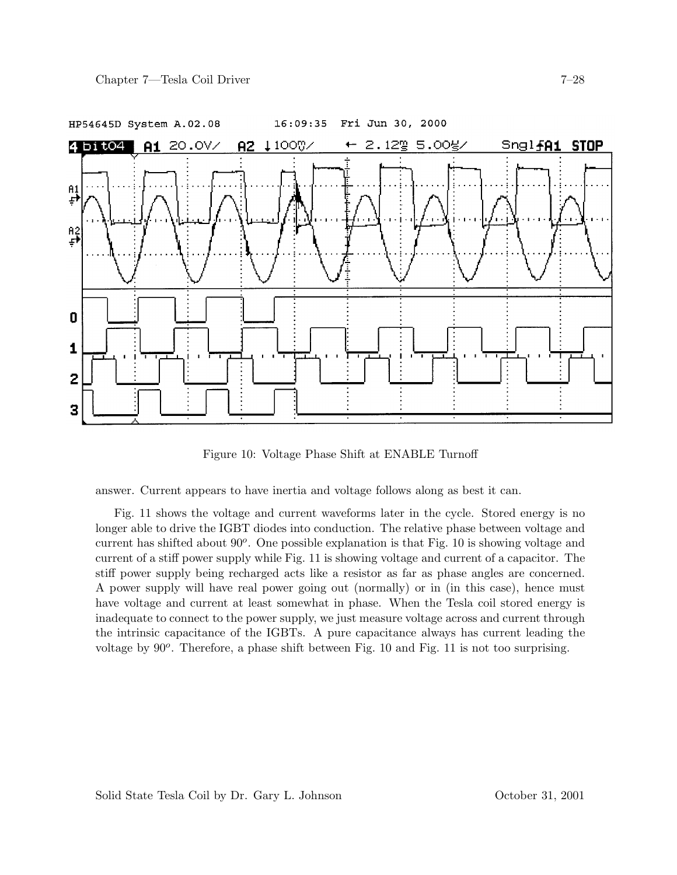

Figure 10: Voltage Phase Shift at ENABLE Turnoff

answer. Current appears to have inertia and voltage follows along as best it can.

Fig. 11 shows the voltage and current waveforms later in the cycle. Stored energy is no longer able to drive the IGBT diodes into conduction. The relative phase between voltage and current has shifted about 90*o*. One possible explanation is that Fig. 10 is showing voltage and current of a stiff power supply while Fig. 11 is showing voltage and current of a capacitor. The stiff power supply being recharged acts like a resistor as far as phase angles are concerned. A power supply will have real power going out (normally) or in (in this case), hence must have voltage and current at least somewhat in phase. When the Tesla coil stored energy is inadequate to connect to the power supply, we just measure voltage across and current through the intrinsic capacitance of the IGBTs. A pure capacitance always has current leading the voltage by 90*o*. Therefore, a phase shift between Fig. 10 and Fig. 11 is not too surprising.